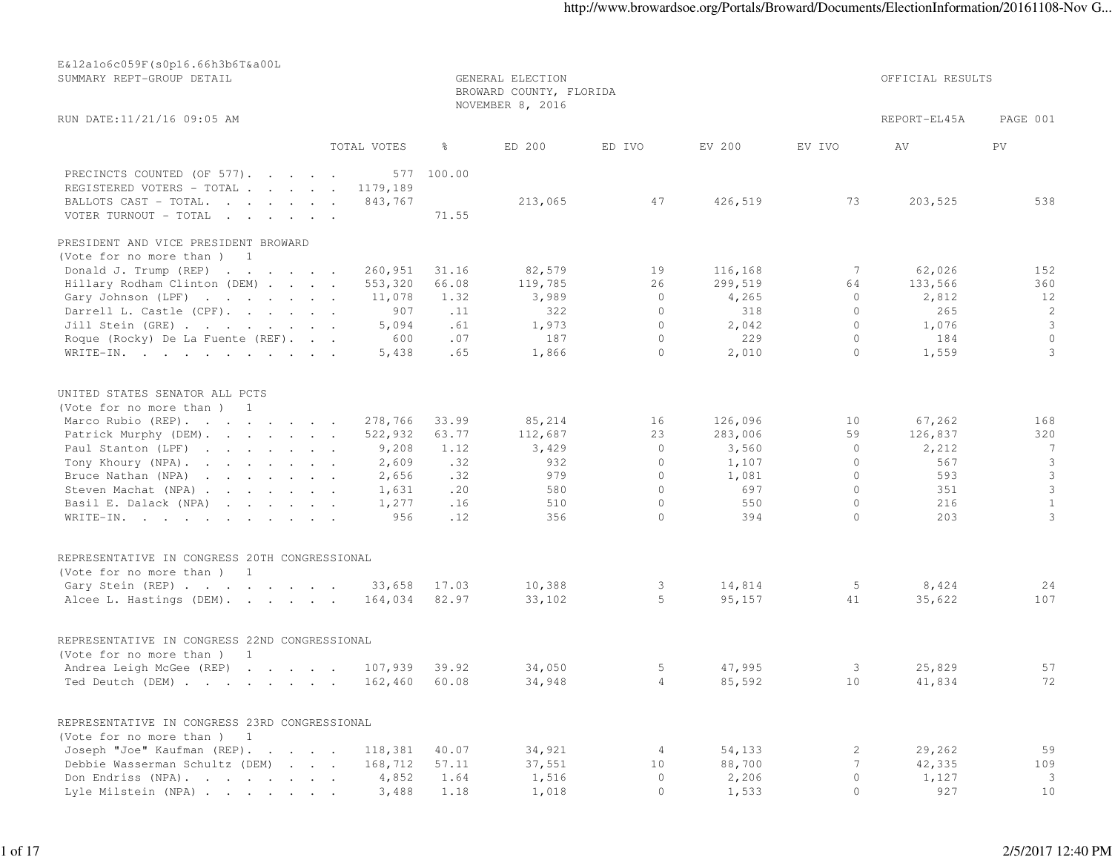| E&12a1o6c059F(s0p16.66h3b6T&a00L<br>SUMMARY REPT-GROUP DETAIL                     |             | OFFICIAL RESULTS |                  |            |         |          |              |                         |  |
|-----------------------------------------------------------------------------------|-------------|------------------|------------------|------------|---------|----------|--------------|-------------------------|--|
| RUN DATE:11/21/16 09:05 AM                                                        |             |                  | NOVEMBER 8, 2016 |            |         |          | REPORT-EL45A | PAGE 001                |  |
|                                                                                   | TOTAL VOTES | ိ                | ED 200           | ED IVO     | EV 200  | EV IVO   | AV           | PV.                     |  |
| PRECINCTS COUNTED (OF 577).                                                       | 577         | 100.00           |                  |            |         |          |              |                         |  |
| REGISTERED VOTERS - TOTAL                                                         | 1179,189    |                  |                  |            |         |          |              |                         |  |
| BALLOTS CAST - TOTAL.                                                             | 843,767     |                  | 213,065          | 47         | 426,519 | 73       | 203,525      | 538                     |  |
| VOTER TURNOUT - TOTAL                                                             |             | 71.55            |                  |            |         |          |              |                         |  |
| PRESIDENT AND VICE PRESIDENT BROWARD                                              |             |                  |                  |            |         |          |              |                         |  |
| (Vote for no more than) 1                                                         |             |                  |                  |            |         |          |              |                         |  |
| Donald J. Trump (REP)                                                             | 260,951     | 31.16            | 82,579           | 19         | 116,168 | 7        | 62,026       | 152                     |  |
| Hillary Rodham Clinton (DEM)                                                      | 553,320     | 66.08            | 119,785          | 26         | 299,519 | 64       | 133,566      | 360                     |  |
| Gary Johnson (LPF)                                                                | 11,078      | 1.32             | 3,989            | $\circ$    | 4,265   | $\circ$  | 2,812        | 12                      |  |
| Darrell L. Castle (CPF).                                                          | 907         | $\ldots$ 11      | 322              | $\circ$    | 318     | $\circ$  | 265          | 2                       |  |
| Jill Stein (GRE)                                                                  | 5,094       | .61              | 1,973            | $\circ$    | 2,042   | $\Omega$ | 1,076        | $\mathbf{3}$            |  |
| Roque (Rocky) De La Fuente (REF).                                                 | 600         | .07              | 187              | $\circ$    | 229     | $\circ$  | 184          | $\circ$                 |  |
| WRITE-IN.                                                                         | 5,438       | .65              | 1,866            | $\circ$    | 2,010   | $\circ$  | 1,559        | 3                       |  |
| UNITED STATES SENATOR ALL PCTS<br>(Vote for no more than) 1<br>Marco Rubio (REP). | 278,766     | 33.99            | 85,214           | 16         | 126,096 | 10       | 67,262       | 168                     |  |
| Patrick Murphy (DEM).                                                             | 522,932     | 63.77            | 112,687          | 23         | 283,006 | 59       | 126,837      | 320                     |  |
| Paul Stanton (LPF)                                                                | 9,208       | 1.12             | 3,429            | $\circ$    | 3,560   | $\circ$  | 2,212        | $\overline{7}$          |  |
| Tony Khoury (NPA).                                                                | 2,609       | .32              | 932              | $\circ$    | 1,107   | $\circ$  | 567          | $\overline{\mathbf{3}}$ |  |
| Bruce Nathan (NPA)                                                                | 2,656       | .32              | 979              | $\circ$    | 1,081   | $\circ$  | 593          | $\mathcal{S}$           |  |
| Steven Machat (NPA)                                                               | 1,631       | .20              | 580              | $\circ$    | 697     | $\circ$  | 351          | $\mathcal{S}$           |  |
| Basil E. Dalack (NPA)                                                             | 1,277       | .16              | 510              | $\circ$    | 550     | $\circ$  | 216          | $\mathbf{1}$            |  |
| WRITE-IN.                                                                         | 956         | .12              | 356              | $\Omega$   | 394     | $\Omega$ | 203          | 3                       |  |
|                                                                                   |             |                  |                  |            |         |          |              |                         |  |
| REPRESENTATIVE IN CONGRESS 20TH CONGRESSIONAL<br>(Vote for no more than) 1        |             |                  |                  |            |         |          |              |                         |  |
| Gary Stein (REP)                                                                  | 33,658      | 17.03            | 10,388           | 3          | 14,814  | 5        | 8,424        | 24                      |  |
| Alcee L. Hastings (DEM).                                                          | 164,034     | 82.97            | 33,102           | 5          | 95,157  | 41       | 35,622       | 107                     |  |
|                                                                                   |             |                  |                  |            |         |          |              |                         |  |
| REPRESENTATIVE IN CONGRESS 22ND CONGRESSIONAL                                     |             |                  |                  |            |         |          |              |                         |  |
| (Vote for no more than) 1                                                         |             |                  |                  |            |         |          |              |                         |  |
| Andrea Leigh McGee (REP) 107,939                                                  |             | 39.92            | 34,050           | 5          | 47,995  | 3        | 25,829       | 57                      |  |
| Ted Deutch (DEM) 162,460 60.08                                                    |             |                  | 34,948           | $4\degree$ | 85,592  | 10       | 41,834       | 72                      |  |
| REPRESENTATIVE IN CONGRESS 23RD CONGRESSIONAL                                     |             |                  |                  |            |         |          |              |                         |  |
| (Vote for no more than) 1                                                         |             |                  |                  |            |         |          |              |                         |  |
| Joseph "Joe" Kaufman (REP).                                                       | 118,381     | 40.07            | 34,921           | 4          | 54,133  | 2        | 29,262       | 59                      |  |
| Debbie Wasserman Schultz (DEM)                                                    | 168,712     | 57.11            | 37,551           | 10         | 88,700  | 7        | 42,335       | 109                     |  |
| Don Endriss (NPA).                                                                | 4,852       | 1.64             | 1,516            | $\circ$    | 2,206   | 0        | 1,127        | $\overline{\mathbf{3}}$ |  |
| Lyle Milstein (NPA)                                                               | 3,488       | 1.18             | 1,018            | $\circ$    | 1,533   | $\circ$  | 927          | 10                      |  |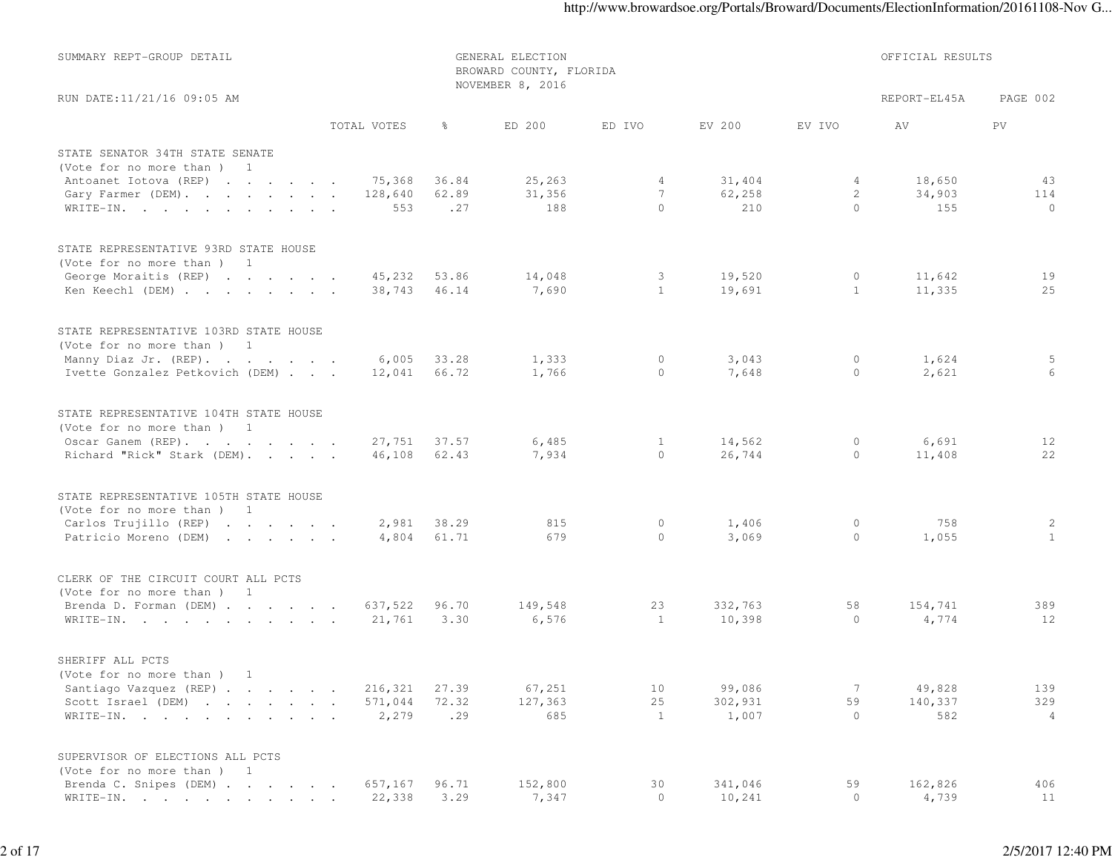| SUMMARY REPT-GROUP DETAIL                                    |                 | OFFICIAL RESULTS |                  |                    |                |                 |                |                |
|--------------------------------------------------------------|-----------------|------------------|------------------|--------------------|----------------|-----------------|----------------|----------------|
| RUN DATE:11/21/16 09:05 AM                                   |                 |                  | NOVEMBER 8, 2016 |                    |                |                 | REPORT-EL45A   | PAGE 002       |
|                                                              | TOTAL VOTES     | ွေ               | ED 200           | ED IVO             | EV 200         | EV IVO          | AV             | PV.            |
| STATE SENATOR 34TH STATE SENATE<br>(Vote for no more than) 1 |                 |                  |                  |                    |                |                 |                |                |
| Antoanet Iotova (REP)                                        | 75,368          | 36.84            | 25, 263          | 4                  | 31,404         | 4               | 18,650         | 43             |
| Gary Farmer (DEM).                                           | 128,640         | 62.89            | 31,356           | 7                  | 62,258         | $\mathbf{2}$    | 34,903         | 114            |
| WRITE-IN.                                                    | 553             | .27              | 188              | $\Omega$           | 210            | $\circ$         | 155            | $\mathbf{0}$   |
| STATE REPRESENTATIVE 93RD STATE HOUSE                        |                 |                  |                  |                    |                |                 |                |                |
| (Vote for no more than) 1                                    |                 |                  |                  |                    |                |                 |                |                |
| George Moraitis (REP)                                        | 45,232          | 53.86            | 14,048           | 3                  | 19,520         | 0               | 11,642         | 19             |
| Ken Keechl (DEM)                                             | 38,743          | 46.14            | 7,690            | $\mathbf{1}$       | 19,691         | $\mathbf{1}$    | 11,335         | 25             |
| STATE REPRESENTATIVE 103RD STATE HOUSE                       |                 |                  |                  |                    |                |                 |                |                |
| (Vote for no more than) 1                                    |                 |                  |                  |                    |                |                 |                |                |
| Manny Diaz Jr. (REP).<br>Ivette Gonzalez Petkovich (DEM)     | 6,005<br>12,041 | 33.28<br>66.72   | 1,333<br>1,766   | $\circ$<br>$\circ$ | 3,043<br>7,648 | 0<br>0          | 1,624<br>2,621 | 5<br>6         |
| STATE REPRESENTATIVE 104TH STATE HOUSE                       |                 |                  |                  |                    |                |                 |                |                |
| (Vote for no more than) 1                                    |                 |                  |                  |                    |                |                 |                |                |
| Oscar Ganem (REP).                                           | 27,751          | 37.57            | 6,485            | $\mathbf{1}$       | 14,562         | 0               | 6,691          | 12             |
| Richard "Rick" Stark (DEM).                                  | 46,108          | 62.43            | 7,934            | $\circ$            | 26,744         | $\circ$         | 11,408         | 22             |
| STATE REPRESENTATIVE 105TH STATE HOUSE                       |                 |                  |                  |                    |                |                 |                |                |
| (Vote for no more than) 1                                    |                 |                  |                  |                    |                |                 |                |                |
| Carlos Trujillo (REP)                                        | 2,981           | 38.29            | 815              | 0                  | 1,406          | 0               | 758            | $\overline{c}$ |
| Patricio Moreno (DEM)                                        | 4,804           | 61.71            | 679              | $\circ$            | 3,069          | $\circ$         | 1,055          | $\mathbf{1}$   |
| CLERK OF THE CIRCUIT COURT ALL PCTS                          |                 |                  |                  |                    |                |                 |                |                |
| (Vote for no more than) 1                                    |                 |                  |                  |                    |                |                 |                |                |
| Brenda D. Forman (DEM)                                       | 637,522         | 96.70            | 149,548          | 23                 | 332,763        | 58              | 154,741        | 389            |
| WRITE-IN.                                                    | 21,761          | 3.30             | 6,576            | 1                  | 10,398         | $\circ$         | 4,774          | 12             |
| SHERIFF ALL PCTS                                             |                 |                  |                  |                    |                |                 |                |                |
| (Vote for no more than)<br>$\overline{1}$                    |                 |                  |                  |                    |                |                 |                |                |
| Santiago Vazquez (REP)                                       | 216,321         | 27.39            | 67,251           | 10                 | 99,086         | $7\phantom{.0}$ | 49,828         | 139            |
| Scott Israel (DEM)                                           | 571,044         | 72.32            | 127,363          | 25                 | 302,931        | 59              | 140,337        | 329            |
| WRITE-IN.                                                    | 2,279           | .29              | 685              | $\mathbf{1}$       | 1,007          | $\circ$         | 582            | $\overline{4}$ |
| SUPERVISOR OF ELECTIONS ALL PCTS                             |                 |                  |                  |                    |                |                 |                |                |
| (Vote for no more than) 1<br>Brenda C. Snipes (DEM)          | 657,167         | 96.71            | 152,800          | 30                 | 341,046        | 59              | 162,826        | 406            |
| WRITE-IN.                                                    | 22,338          | 3.29             | 7,347            | $\circ$            | 10,241         | $\circ$         | 4,739          | 11             |
|                                                              |                 |                  |                  |                    |                |                 |                |                |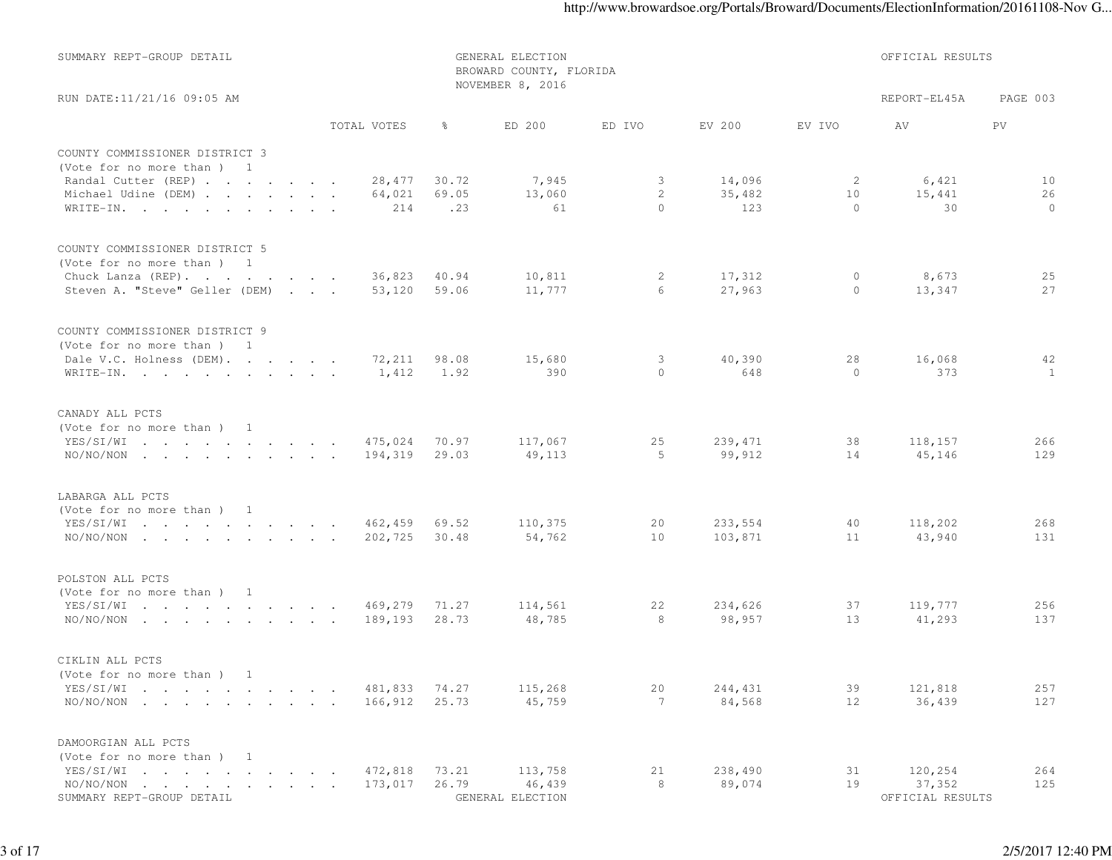| SUMMARY REPT-GROUP DETAIL                                                                                                    |                    | GENERAL ELECTION<br>BROWARD COUNTY, FLORIDA | OFFICIAL RESULTS  |                       |                   |              |                   |            |
|------------------------------------------------------------------------------------------------------------------------------|--------------------|---------------------------------------------|-------------------|-----------------------|-------------------|--------------|-------------------|------------|
| RUN DATE:11/21/16 09:05 AM                                                                                                   |                    |                                             | NOVEMBER 8, 2016  |                       |                   |              | REPORT-EL45A      | PAGE 003   |
|                                                                                                                              | TOTAL VOTES        | $\frac{6}{6}$                               | ED 200            | ED IVO                | EV 200            | EV IVO       | AV                | PV.        |
| COUNTY COMMISSIONER DISTRICT 3                                                                                               |                    |                                             |                   |                       |                   |              |                   |            |
| (Vote for no more than) 1<br>Randal Cutter (REP)                                                                             | 28,477             | 30.72                                       | 7,945             | $\mathcal{S}$         | 14,096            | 2            | 6,421             | 10         |
| Michael Udine (DEM)                                                                                                          | 64,021             | 69.05                                       | 13,060            | $\overline{c}$        | 35,482            | 10           | 15,441            | 26         |
| WRITE-IN.                                                                                                                    | 214                | .23                                         | 61                | $\circ$               | 123               | $\circ$      | 30                | $\circ$    |
| COUNTY COMMISSIONER DISTRICT 5                                                                                               |                    |                                             |                   |                       |                   |              |                   |            |
| (Vote for no more than) 1                                                                                                    |                    |                                             |                   |                       |                   |              |                   |            |
| Chuck Lanza (REP).<br>Steven A. "Steve" Geller (DEM)                                                                         | 36,823<br>53,120   | 40.94<br>59.06                              | 10,811<br>11,777  | 2<br>6                | 17,312<br>27,963  | 0<br>$\circ$ | 8,673<br>13,347   | 25<br>27   |
| COUNTY COMMISSIONER DISTRICT 9                                                                                               |                    |                                             |                   |                       |                   |              |                   |            |
| (Vote for no more than) 1                                                                                                    |                    |                                             |                   |                       |                   |              |                   |            |
| Dale V.C. Holness (DEM).                                                                                                     | 72,211             | 98.08                                       | 15,680            | 3                     | 40,390            | 28           | 16,068            | 42         |
| WRITE-IN.                                                                                                                    | 1,412              | 1.92                                        | 390               | $\circ$               | 648               | $\circ$      | 373               | 1          |
| CANADY ALL PCTS                                                                                                              |                    |                                             |                   |                       |                   |              |                   |            |
| (Vote for no more than) 1                                                                                                    |                    |                                             |                   |                       |                   |              |                   |            |
| YES/SI/WI                                                                                                                    | 475,024            | 70.97                                       | 117,067           | 25                    | 239, 471          | 38           | 118,157           | 266        |
| $NO/NO/NON$                                                                                                                  | 194,319            | 29.03                                       | 49,113            | -5                    | 99,912            | 14           | 45,146            | 129        |
| LABARGA ALL PCTS                                                                                                             |                    |                                             |                   |                       |                   |              |                   |            |
| (Vote for no more than) 1                                                                                                    |                    |                                             |                   |                       |                   |              |                   |            |
| YES/SI/WI                                                                                                                    | 462,459            | 69.52                                       | 110,375           | 20                    | 233,554           | 40           | 118,202           | 268        |
| $NO/NO/NON$                                                                                                                  | 202,725            | 30.48                                       | 54,762            | 10                    | 103,871           | 11           | 43,940            | 131        |
| POLSTON ALL PCTS                                                                                                             |                    |                                             |                   |                       |                   |              |                   |            |
| (Vote for no more than) 1                                                                                                    |                    |                                             |                   |                       |                   |              |                   |            |
| YES/SI/WI<br>$\text{NO/NO/NON} \quad . \quad . \quad . \quad . \quad . \quad . \quad . \quad . \quad . \quad .$              | 469,279<br>189,193 | 71.27<br>28.73                              | 114,561<br>48,785 | 22<br>8               | 234,626<br>98,957 | 37<br>13     | 119,777<br>41,293 | 256<br>137 |
|                                                                                                                              |                    |                                             |                   |                       |                   |              |                   |            |
| CIKLIN ALL PCTS                                                                                                              |                    |                                             |                   |                       |                   |              |                   |            |
| (Vote for no more than) 1                                                                                                    |                    |                                             |                   |                       |                   |              |                   |            |
| YES/SI/WI<br>the contract of the contract of the contract of the contract of the contract of the contract of the contract of | 481,833            | 74.27                                       | 115,268           | 20<br>$7\overline{ }$ | 244,431           | 39           | 121,818           | 257        |
| $NO/NO/NON$                                                                                                                  | 166,912            | 25.73                                       | 45,759            |                       | 84,568            | 12           | 36,439            | 127        |
| DAMOORGIAN ALL PCTS                                                                                                          |                    |                                             |                   |                       |                   |              |                   |            |
| (Vote for no more than)                                                                                                      |                    |                                             |                   |                       |                   |              |                   |            |
| YES/SI/WI<br>$\sim$ $\sim$<br>$NO/NO/NON$                                                                                    | 472,818<br>173,017 | 73.21<br>26.79                              | 113,758<br>46,439 | 21<br>8               | 238,490<br>89,074 | 31<br>19     | 120,254<br>37,352 | 264<br>125 |
| SUMMARY REPT-GROUP DETAIL                                                                                                    |                    |                                             | GENERAL ELECTION  |                       |                   |              | OFFICIAL RESULTS  |            |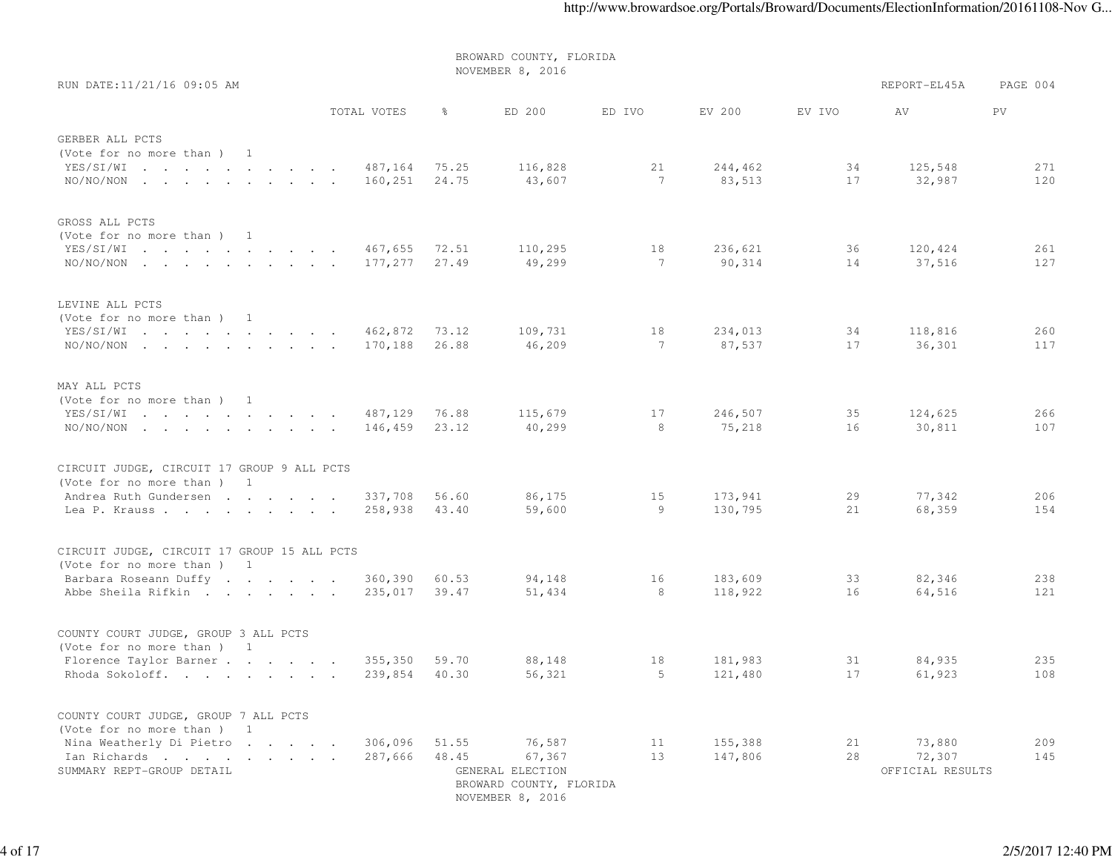NOVEMBER 8, 2016RUN DATE:11/21/16 09:05 AM **REPORT-EL45A** PAGE 004 TOTAL VOTES % ED 200 ED IVO EV 200 EV IVO AV PVGERBER ALL PCTS (Vote for no more than ) 1 YES/SI/WI . . . . . . . . . . 487,164 75.25 116,828 21 244,462 34 125,548 271120 NO/NO/NON . . . . . . . . 160,251 24.75 43,607 1 7 83,513 17 32,987 GROSS ALL PCTS (Vote for no more than ) 1 YES/SI/WI . . . . . . . . . . 467,655 72.51 110,295 18 236,621 36 120,424 261127 NO/NO/NON . . . . . . . 177,277 27.49 49,299 1 7 90,314 14 37,516 LEVINE ALL PCTS (Vote for no more than ) 1 YES/SI/WI . . . . . . . . . . 462,872 73.12 109,731 18 234,013 34 118,816 260117 NO/NO/NON . . . . . . . . 170,188 26.88 46,209 1 7 87,537 17 36,301 MAY ALL PCTS (Vote for no more than ) 1 YES/SI/WI . . . . . . . . . . 487,129 76.88 115,679 17 246,507 35 124,625 266107 NO/NO/NON . . . . . . . . 146,459 23.12 40,299 8 8 75,218 16 30,811 CIRCUIT JUDGE, CIRCUIT 17 GROUP 9 ALL PCTS(Vote for no more than ) 1 Andrea Ruth Gundersen . . . . . 337,708 56.60 86,175 15 173,941 29 77,342 206 154 Lea P. Krauss . . . . . . . 258,938 43.40 59,600 9 130,795 21 68,359 CIRCUIT JUDGE, CIRCUIT 17 GROUP 15 ALL PCTS(Vote for no more than ) 1 Barbara Roseann Duffy . . . . . . 360,390 60.53 94,148 16 183,609 33 82,346 238121 Abbe Sheila Rifkin . . . . . . 235,017 39.47 51,434 8 118,922 16 64,516 COUNTY COURT JUDGE, GROUP 3 ALL PCTS(Vote for no more than ) 1 Florence Taylor Barner . . . . . . 355,350 59.70 88,148 18 181,983 31 84,935 235108 Rhoda Sokoloff. . . . . . . 239,854 40.30 56,321 5 121,480 17 61,923 COUNTY COURT JUDGE, GROUP 7 ALL PCTS(Vote for no more than ) 1 Nina Weatherly Di Pietro . . . . . 306,096 51.55 76,587 11 155,388 21 73,880 209145 Ian Richards . . . . . . . 287,666 48.45 67,367 13 147,806 28 72,307 SUMMARY REPT-GROUP DETAIL GENERAL ELECTION OFFICIAL RESULTSBROWARD COUNTY, FLORIDA

BROWARD COUNTY, FLORIDA

NOVEMBER 8, 2016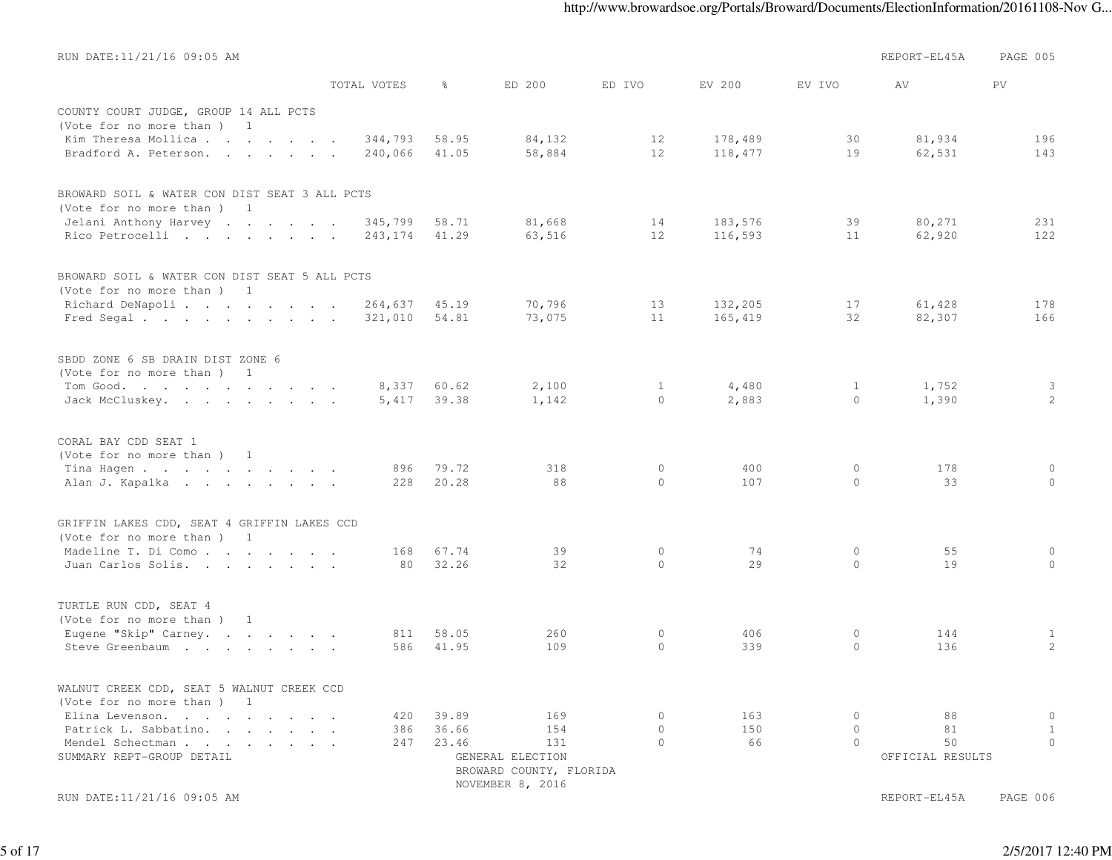| RUN DATE:11/21/16 09:05 AM                    |             |       |                         |              |         |              | REPORT-EL45A     | PAGE 005          |
|-----------------------------------------------|-------------|-------|-------------------------|--------------|---------|--------------|------------------|-------------------|
|                                               | TOTAL VOTES | ⊱     | ED 200                  | ED IVO       | EV 200  | EV IVO       | AV               | PV                |
| COUNTY COURT JUDGE, GROUP 14 ALL PCTS         |             |       |                         |              |         |              |                  |                   |
| (Vote for no more than ) 1                    |             |       |                         |              |         |              |                  |                   |
| Kim Theresa Mollica                           | 344,793     | 58.95 | 84,132                  | 12           | 178,489 | 30           | 81,934           | 196               |
| Bradford A. Peterson.                         | 240,066     | 41.05 | 58,884                  | 12           | 118,477 | 19           | 62,531           | 143               |
|                                               |             |       |                         |              |         |              |                  |                   |
| BROWARD SOIL & WATER CON DIST SEAT 3 ALL PCTS |             |       |                         |              |         |              |                  |                   |
| (Vote for no more than) 1                     |             |       |                         |              |         |              |                  |                   |
| Jelani Anthony Harvey                         | 345,799     | 58.71 | 81,668                  | 14           | 183,576 | 39           | 80,271           | 231               |
| Rico Petrocelli                               | 243,174     | 41.29 | 63,516                  | 12           | 116,593 | 11           | 62,920           | 122               |
| BROWARD SOIL & WATER CON DIST SEAT 5 ALL PCTS |             |       |                         |              |         |              |                  |                   |
| (Vote for no more than) 1                     |             |       |                         |              |         |              |                  |                   |
| Richard DeNapoli                              | 264,637     | 45.19 | 70,796                  | 13           | 132,205 | 17           | 61,428           | 178               |
| Fred Segal.                                   | 321,010     | 54.81 | 73,075                  | 11           | 165,419 | 32           | 82,307           | 166               |
| SBDD ZONE 6 SB DRAIN DIST ZONE 6              |             |       |                         |              |         |              |                  |                   |
| (Vote for no more than) 1                     |             |       |                         |              |         |              |                  |                   |
| Tom Good.                                     | 8,337       | 60.62 | 2,100                   | $\mathbf{1}$ | 4,480   | $\mathbf{1}$ | 1,752            | 3                 |
| Jack McCluskey.                               | 5,417       | 39.38 | 1,142                   | $\circ$      | 2,883   | $\circ$      | 1,390            | 2                 |
|                                               |             |       |                         |              |         |              |                  |                   |
| CORAL BAY CDD SEAT 1                          |             |       |                         |              |         |              |                  |                   |
| (Vote for no more than) 1                     |             |       |                         |              |         |              |                  |                   |
| Tina Hagen                                    | 896         | 79.72 | 318                     | $\circ$      | 400     | 0            | 178              | 0                 |
| Alan J. Kapalka                               | 228         | 20.28 | 88                      | $\circ$      | 107     | $\circ$      | 33               | $\circ$           |
| GRIFFIN LAKES CDD, SEAT 4 GRIFFIN LAKES CCD   |             |       |                         |              |         |              |                  |                   |
| (Vote for no more than) 1                     |             |       |                         |              |         |              |                  |                   |
| Madeline T. Di Como                           | 168         | 67.74 | 39                      | $\circ$      | 74      | 0            | 55               | 0                 |
| Juan Carlos Solis.                            | 80          | 32.26 | 32                      | $\Omega$     | 29      | $\circ$      | 19               | $\circ$           |
| TURTLE RUN CDD, SEAT 4                        |             |       |                         |              |         |              |                  |                   |
| (Vote for no more than ) 1                    |             |       |                         |              |         |              |                  |                   |
| Eugene "Skip" Carney.                         | 811         | 58.05 | 260                     | 0            | 406     | 0            | 144              |                   |
|                                               | 586         | 41.95 | 109                     | $\circ$      | 339     | $\circ$      | 136              | $\mathbf{1}$<br>2 |
| Steve Greenbaum                               |             |       |                         |              |         |              |                  |                   |
| WALNUT CREEK CDD, SEAT 5 WALNUT CREEK CCD     |             |       |                         |              |         |              |                  |                   |
| (Vote for no more than ) 1                    |             |       |                         |              |         |              |                  |                   |
| Elina Levenson.                               | 420         | 39.89 | 169                     | $\circ$      | 163     | 0            | 88               | $\circ$           |
| Patrick L. Sabbatino.                         | 386         | 36.66 | 154                     | $\circ$      | 150     | $\circ$      | 81               | $\mathbf{1}$      |
| Mendel Schectman                              | 247         | 23.46 | 131                     | $\Omega$     | 66      | $\circ$      | 50               | $\mathbf{0}$      |
| SUMMARY REPT-GROUP DETAIL                     |             |       | GENERAL ELECTION        |              |         |              | OFFICIAL RESULTS |                   |
|                                               |             |       | BROWARD COUNTY, FLORIDA |              |         |              |                  |                   |
|                                               |             |       | NOVEMBER 8, 2016        |              |         |              |                  |                   |
| RUN DATE:11/21/16 09:05 AM                    |             |       |                         |              |         |              | REPORT-EL45A     | PAGE 006          |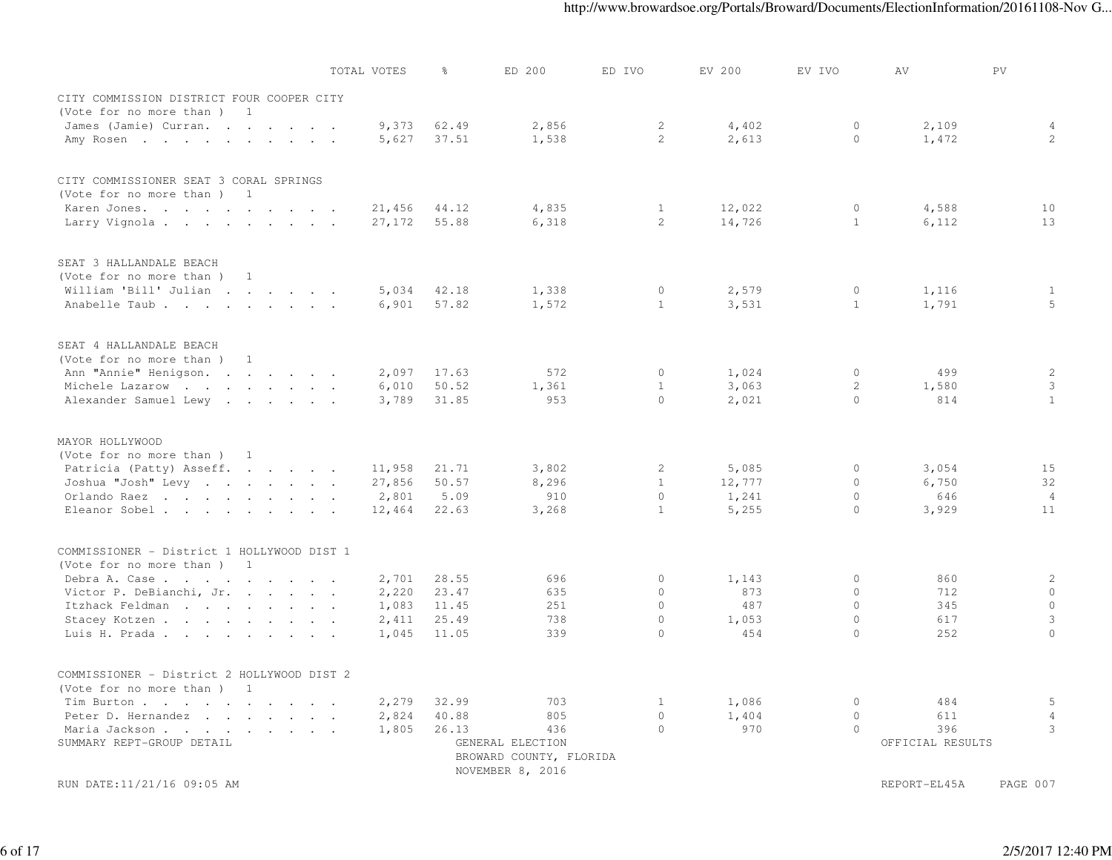|                                            | TOTAL VOTES | ိင    | ED 200                                      | ED IVO       | EV 200 | EV IVO       | AV               | PV             |
|--------------------------------------------|-------------|-------|---------------------------------------------|--------------|--------|--------------|------------------|----------------|
| CITY COMMISSION DISTRICT FOUR COOPER CITY  |             |       |                                             |              |        |              |                  |                |
| (Vote for no more than)<br>$\sim$ 1        |             |       |                                             |              |        |              |                  |                |
| James (Jamie) Curran.                      | 9,373       | 62.49 | 2,856                                       | $\mathbf{2}$ | 4,402  | $\circ$      | 2,109            | 4              |
| Amy Rosen                                  | 5,627       | 37.51 | 1,538                                       | 2            | 2,613  | $\Omega$     | 1,472            | 2              |
|                                            |             |       |                                             |              |        |              |                  |                |
| CITY COMMISSIONER SEAT 3 CORAL SPRINGS     |             |       |                                             |              |        |              |                  |                |
| (Vote for no more than ) 1                 |             |       |                                             |              |        |              |                  |                |
| Karen Jones.                               | 21,456      | 44.12 | 4,835                                       | $\mathbf{1}$ | 12,022 | $\circ$      | 4,588            | 10             |
| Larry Vignola                              | 27,172      | 55.88 | 6,318                                       | 2            | 14,726 | $\mathbf{1}$ | 6,112            | 13             |
|                                            |             |       |                                             |              |        |              |                  |                |
| SEAT 3 HALLANDALE BEACH                    |             |       |                                             |              |        |              |                  |                |
| (Vote for no more than) 1                  |             |       |                                             |              |        |              |                  |                |
| William 'Bill' Julian                      | 5,034       | 42.18 | 1,338                                       | $\circ$      | 2,579  | $\circ$      | 1,116            | $\mathbf{1}$   |
| Anabelle Taub                              | 6,901       | 57.82 | 1,572                                       | $\mathbf{1}$ | 3,531  | $\mathbf{1}$ | 1,791            | 5              |
|                                            |             |       |                                             |              |        |              |                  |                |
| SEAT 4 HALLANDALE BEACH                    |             |       |                                             |              |        |              |                  |                |
| (Vote for no more than) 1                  |             |       |                                             |              |        |              |                  |                |
| Ann "Annie" Henigson.                      | 2,097       | 17.63 | 572                                         | $\circ$      | 1,024  | $\circ$      | 499              | 2              |
| Michele Lazarow                            | 6,010       | 50.52 | 1,361                                       | $\mathbf{1}$ | 3,063  | 2            | 1,580            | $\mathbf{3}$   |
| Alexander Samuel Lewy                      | 3,789       | 31.85 | 953                                         | $\Omega$     | 2,021  | $\Omega$     | 814              | $\mathbf{1}$   |
| MAYOR HOLLYWOOD                            |             |       |                                             |              |        |              |                  |                |
| (Vote for no more than) 1                  |             |       |                                             |              |        |              |                  |                |
| Patricia (Patty) Asseff.                   | 11,958      | 21.71 | 3,802                                       | $\mathbf{2}$ | 5,085  | $\circ$      | 3,054            | 15             |
| Joshua "Josh" Levy                         | 27,856      | 50.57 | 8,296                                       | $\mathbf{1}$ | 12,777 | $\circ$      | 6,750            | 32             |
| Orlando Raez                               | 2,801       | 5.09  | 910                                         | $\Omega$     | 1,241  | $\circ$      | 646              | $\overline{4}$ |
| Eleanor Sobel                              | 12,464      | 22.63 | 3,268                                       | $\mathbf{1}$ | 5,255  | $\bigcap$    | 3,929            | 11             |
|                                            |             |       |                                             |              |        |              |                  |                |
| COMMISSIONER - District 1 HOLLYWOOD DIST 1 |             |       |                                             |              |        |              |                  |                |
| (Vote for no more than ) 1                 |             |       |                                             |              |        |              |                  |                |
| Debra A. Case                              | 2,701       | 28.55 | 696                                         | $\circ$      | 1,143  | $\circ$      | 860              | 2              |
| Victor P. DeBianchi, Jr.                   | 2,220       | 23.47 | 635                                         | $\Omega$     | 873    | $\Omega$     | 712              | $\circ$        |
| Itzhack Feldman                            | 1,083       | 11.45 | 251                                         | $\circ$      | 487    | $\circ$      | 345              | $\circ$        |
| Stacey Kotzen                              | 2,411       | 25.49 | 738                                         | $\circ$      | 1,053  | $\circ$      | 617              | 3              |
| Luis H. Prada                              | 1,045       | 11.05 | 339                                         | $\Omega$     | 454    | $\Omega$     | 252              | $\Omega$       |
| COMMISSIONER - District 2 HOLLYWOOD DIST 2 |             |       |                                             |              |        |              |                  |                |
| (Vote for no more than ) 1                 |             |       |                                             |              |        |              |                  |                |
| Tim Burton                                 | 2,279       | 32.99 | 703                                         | $\mathbf{1}$ | 1,086  | $\circ$      | 484              | 5              |
| Peter D. Hernandez                         | 2,824       | 40.88 | 805                                         | $\circ$      | 1,404  | $\circ$      | 611              | 4              |
|                                            |             | 26.13 | 436                                         | $\Omega$     | 970    | $\circ$      | 396              | 3              |
| Maria Jackson<br>SUMMARY REPT-GROUP DETAIL | 1,805       |       |                                             |              |        |              |                  |                |
|                                            |             |       | GENERAL ELECTION                            |              |        |              | OFFICIAL RESULTS |                |
|                                            |             |       | BROWARD COUNTY, FLORIDA<br>NOVEMBER 8, 2016 |              |        |              |                  |                |
| RUN DATE:11/21/16 09:05 AM                 |             |       |                                             |              |        |              | REPORT-EL45A     | PAGE 007       |
|                                            |             |       |                                             |              |        |              |                  |                |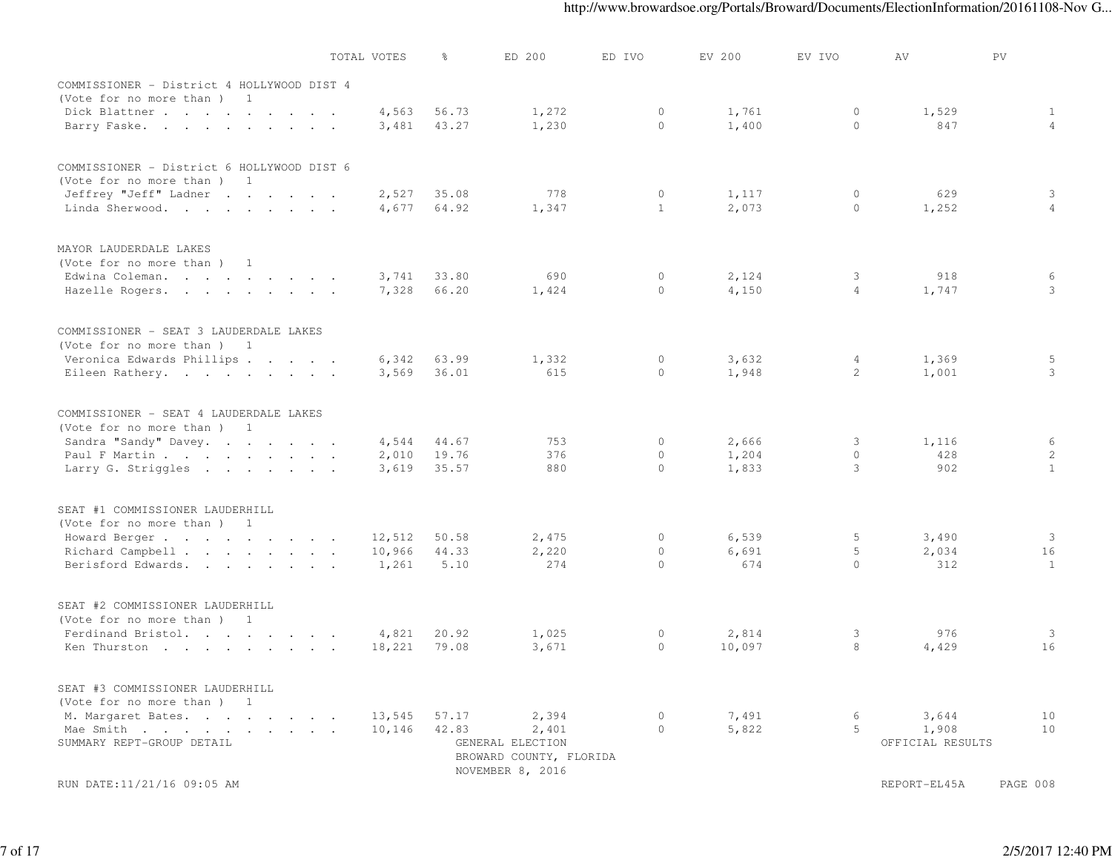|                                            | TOTAL VOTES | ိင    | ED 200                                      | ED IVO       | EV 200 | EV IVO         | AV               | PV             |
|--------------------------------------------|-------------|-------|---------------------------------------------|--------------|--------|----------------|------------------|----------------|
| COMMISSIONER - District 4 HOLLYWOOD DIST 4 |             |       |                                             |              |        |                |                  |                |
| (Vote for no more than) 1                  |             |       |                                             |              |        |                |                  |                |
| Dick Blattner                              | 4,563       | 56.73 | 1,272                                       | $\circ$      | 1,761  | $\circ$        | 1,529            | 1              |
| Barry Faske.                               | 3,481       | 43.27 | 1,230                                       | $\Omega$     | 1,400  | $\circ$        | 847              | $\overline{4}$ |
|                                            |             |       |                                             |              |        |                |                  |                |
| COMMISSIONER - District 6 HOLLYWOOD DIST 6 |             |       |                                             |              |        |                |                  |                |
| (Vote for no more than) 1                  |             |       |                                             |              |        |                |                  |                |
| Jeffrey "Jeff" Ladner                      | 2,527       | 35.08 | 778                                         | $\circ$      | 1,117  | $\circ$        | 629              | 3              |
| Linda Sherwood.                            | 4,677       | 64.92 | 1,347                                       | $\mathbf{1}$ | 2,073  | $\circ$        | 1,252            | $\overline{4}$ |
| MAYOR LAUDERDALE LAKES                     |             |       |                                             |              |        |                |                  |                |
| (Vote for no more than) 1                  |             |       |                                             |              |        |                |                  |                |
| Edwina Coleman.                            | 3,741       | 33.80 | 690                                         | $\circ$      | 2,124  | 3              | 918              | 6              |
| Hazelle Rogers.                            | 7,328       | 66.20 | 1,424                                       | $\circ$      | 4,150  | $\overline{4}$ | 1,747            | $\mathbf{3}$   |
|                                            |             |       |                                             |              |        |                |                  |                |
| COMMISSIONER - SEAT 3 LAUDERDALE LAKES     |             |       |                                             |              |        |                |                  |                |
| (Vote for no more than) 1                  |             |       |                                             |              |        |                |                  |                |
| Veronica Edwards Phillips                  | 6,342       | 63.99 | 1,332                                       | $\circ$      | 3,632  | 4              | 1,369            | 5              |
| Eileen Rathery.                            | 3,569       | 36.01 | 615                                         | $\Omega$     | 1,948  | 2              | 1,001            | 3              |
| COMMISSIONER - SEAT 4 LAUDERDALE LAKES     |             |       |                                             |              |        |                |                  |                |
| (Vote for no more than ) 1                 |             |       |                                             |              |        |                |                  |                |
| Sandra "Sandy" Davey.                      | 4,544       | 44.67 | 753                                         | $\circ$      | 2,666  | 3              | 1,116            | 6              |
| Paul F Martin                              | 2,010       | 19.76 | 376                                         | $\circ$      | 1,204  | $\circ$        | 428              | 2              |
| Larry G. Striggles                         | 3,619       | 35.57 | 880                                         | $\cap$       | 1,833  | 3              | 902              | $\mathbf{1}$   |
| SEAT #1 COMMISSIONER LAUDERHILL            |             |       |                                             |              |        |                |                  |                |
| (Vote for no more than) 1                  |             |       |                                             |              |        |                |                  |                |
| Howard Berger                              | 12,512      | 50.58 | 2,475                                       | $\circ$      | 6,539  | 5              | 3,490            | 3              |
| Richard Campbell                           | 10,966      | 44.33 | 2,220                                       | $\circ$      | 6,691  | 5              | 2,034            | 16             |
| Berisford Edwards.                         | 1,261       | 5.10  | 274                                         | $\Omega$     | 674    | $\Omega$       | 312              | $\mathbf{1}$   |
|                                            |             |       |                                             |              |        |                |                  |                |
| SEAT #2 COMMISSIONER LAUDERHILL            |             |       |                                             |              |        |                |                  |                |
| (Vote for no more than) 1                  |             |       |                                             |              |        |                |                  |                |
| Ferdinand Bristol.                         | 4,821       | 20.92 | 1,025                                       | $\circ$      | 2,814  | 3              | 976              | 3              |
| Ken Thurston                               | 18,221      | 79.08 | 3,671                                       | $\circ$      | 10,097 | 8              | 4,429            | 16             |
| SEAT #3 COMMISSIONER LAUDERHILL            |             |       |                                             |              |        |                |                  |                |
| (Vote for no more than) 1                  |             |       |                                             |              |        |                |                  |                |
| M. Margaret Bates.                         | 13,545      | 57.17 | 2,394                                       | $\circ$      | 7,491  | 6              | 3,644            | 10             |
| Mae Smith                                  | 10,146      | 42.83 | 2,401                                       | $\Omega$     | 5,822  | 5              | 1,908            | 10             |
| SUMMARY REPT-GROUP DETAIL                  |             |       | GENERAL ELECTION                            |              |        |                | OFFICIAL RESULTS |                |
|                                            |             |       | BROWARD COUNTY, FLORIDA<br>NOVEMBER 8, 2016 |              |        |                |                  |                |
| RUN DATE:11/21/16 09:05 AM                 |             |       |                                             |              |        |                | REPORT-EL45A     | PAGE 008       |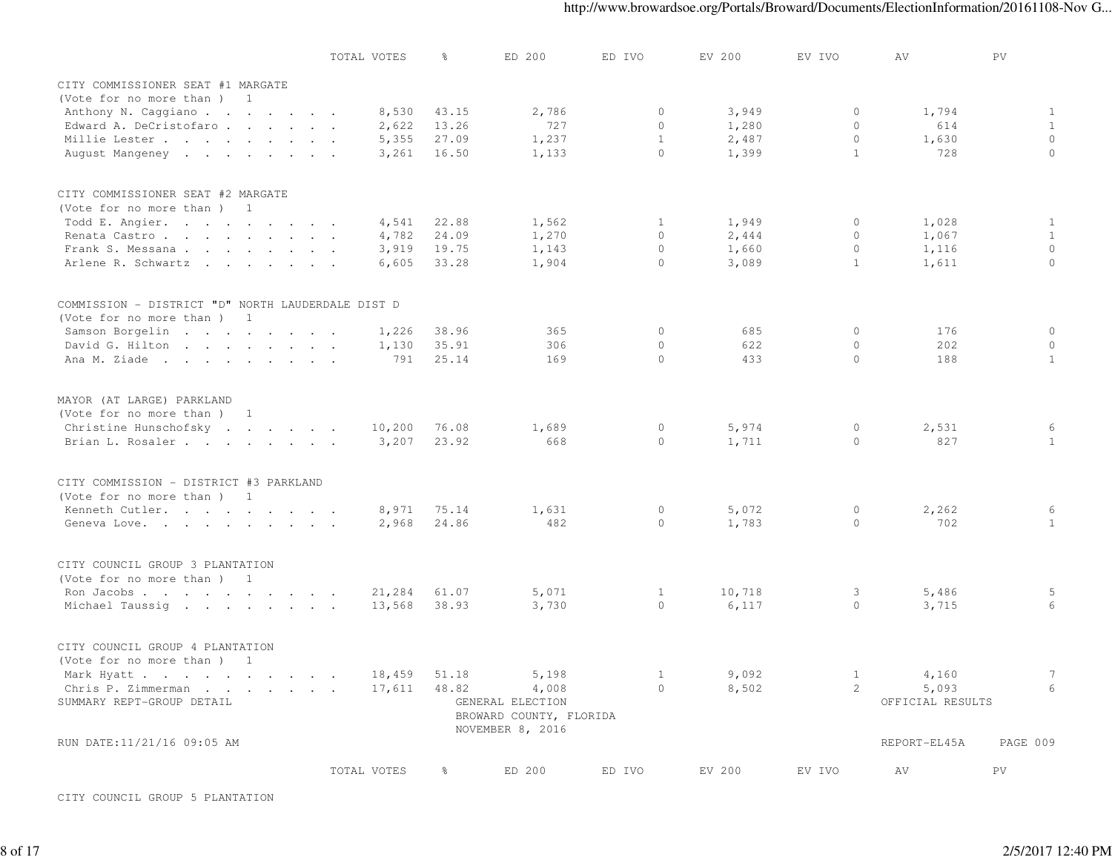|                                                   | TOTAL VOTES | 욲     | ED 200                                                          | ED IVO       | EV 200 | EV IVO       | ΑV               | PV           |
|---------------------------------------------------|-------------|-------|-----------------------------------------------------------------|--------------|--------|--------------|------------------|--------------|
| CITY COMMISSIONER SEAT #1 MARGATE                 |             |       |                                                                 |              |        |              |                  |              |
| (Vote for no more than) 1                         |             |       |                                                                 |              |        |              |                  |              |
| Anthony N. Caggiano                               | 8,530       | 43.15 | 2,786                                                           | $\circ$      | 3,949  | $\circ$      | 1,794            | $\mathbf{1}$ |
| Edward A. DeCristofaro                            | 2,622       | 13.26 | 727                                                             | $\Omega$     | 1,280  | $\Omega$     | 614              | $\mathbf{1}$ |
| Millie Lester                                     | 5,355       | 27.09 | 1,237                                                           | $\mathbf{1}$ | 2,487  | $\circ$      | 1,630            | $\mathbb O$  |
| August Mangeney                                   | 3,261       | 16.50 | 1,133                                                           | $\Omega$     | 1,399  | $\mathbf{1}$ | 728              | $\Omega$     |
|                                                   |             |       |                                                                 |              |        |              |                  |              |
| CITY COMMISSIONER SEAT #2 MARGATE                 |             |       |                                                                 |              |        |              |                  |              |
| (Vote for no more than) 1                         |             |       |                                                                 |              |        |              |                  |              |
| Todd E. Angier.                                   | 4,541       | 22.88 | 1,562                                                           | 1            | 1,949  | $\circ$      | 1,028            | $\mathbf{1}$ |
| Renata Castro                                     | 4,782       | 24.09 | 1,270                                                           | $\Omega$     | 2,444  | $\circ$      | 1,067            | $\mathbf{1}$ |
| Frank S. Messana                                  | 3,919       | 19.75 | 1,143                                                           | $\circ$      | 1,660  | $\circ$      | 1,116            | $\circ$      |
| Arlene R. Schwartz                                | 6,605       | 33.28 | 1,904                                                           | $\Omega$     | 3,089  | $\mathbf{1}$ | 1,611            | $\circ$      |
| COMMISSION - DISTRICT "D" NORTH LAUDERDALE DIST D |             |       |                                                                 |              |        |              |                  |              |
| (Vote for no more than) 1                         |             |       |                                                                 |              |        |              |                  |              |
| Samson Borgelin                                   | 1,226       | 38.96 | 365                                                             | $\circ$      | 685    | $\circ$      | 176              | $\circ$      |
| David G. Hilton                                   | 1,130       | 35.91 | 306                                                             | $\circ$      | 622    | $\circ$      | 202              | $\circ$      |
| Ana M. Ziade                                      | 791         | 25.14 | 169                                                             | $\Omega$     | 433    | $\circ$      | 188              | $\mathbf{1}$ |
|                                                   |             |       |                                                                 |              |        |              |                  |              |
| MAYOR (AT LARGE) PARKLAND                         |             |       |                                                                 |              |        |              |                  |              |
| (Vote for no more than ) 1                        |             |       |                                                                 |              |        |              |                  |              |
| Christine Hunschofsky                             | 10,200      | 76.08 | 1,689                                                           | $\circ$      | 5,974  | $\circ$      | 2,531            | 6            |
| Brian L. Rosaler                                  | 3,207       | 23.92 | 668                                                             | $\Omega$     | 1,711  | $\circ$      | 827              | $\mathbf{1}$ |
| CITY COMMISSION - DISTRICT #3 PARKLAND            |             |       |                                                                 |              |        |              |                  |              |
| (Vote for no more than) 1                         |             |       |                                                                 |              |        |              |                  |              |
| Kenneth Cutler.                                   | 8,971       | 75.14 | 1,631                                                           | $\circ$      | 5,072  | $\circ$      | 2,262            | 6            |
| Geneva Love.                                      | 2,968       | 24.86 | 482                                                             | $\bigcap$    | 1,783  | $\Omega$     | 702              | $\mathbf{1}$ |
| CITY COUNCIL GROUP 3 PLANTATION                   |             |       |                                                                 |              |        |              |                  |              |
| (Vote for no more than) 1                         |             |       |                                                                 |              |        |              |                  |              |
| Ron Jacobs                                        | 21,284      | 61.07 | 5,071                                                           | 1            | 10,718 | 3            | 5,486            | 5            |
| Michael Taussig                                   | 13,568      | 38.93 | 3,730                                                           | $\bigcap$    | 6,117  | $\circ$      | 3,715            | 6            |
| CITY COUNCIL GROUP 4 PLANTATION                   |             |       |                                                                 |              |        |              |                  |              |
| (Vote for no more than) 1                         |             |       |                                                                 |              |        |              |                  |              |
| Mark Hyatt                                        | 18,459      | 51.18 | 5,198                                                           | $\mathbf{1}$ | 9,092  | 1            | 4,160            | 7            |
| Chris P. Zimmerman                                | 17,611      | 48.82 | 4,008                                                           | $\Omega$     | 8,502  | 2            | 5,093            | 6            |
| SUMMARY REPT-GROUP DETAIL                         |             |       | GENERAL ELECTION<br>BROWARD COUNTY, FLORIDA<br>NOVEMBER 8, 2016 |              |        |              | OFFICIAL RESULTS |              |
| RUN DATE:11/21/16 09:05 AM                        |             |       |                                                                 |              |        |              | REPORT-EL45A     | PAGE 009     |
|                                                   | TOTAL VOTES | 응     | ED 200                                                          | ED IVO       | EV 200 | EV IVO       | AV               | PV           |

CITY COUNCIL GROUP 5 PLANTATION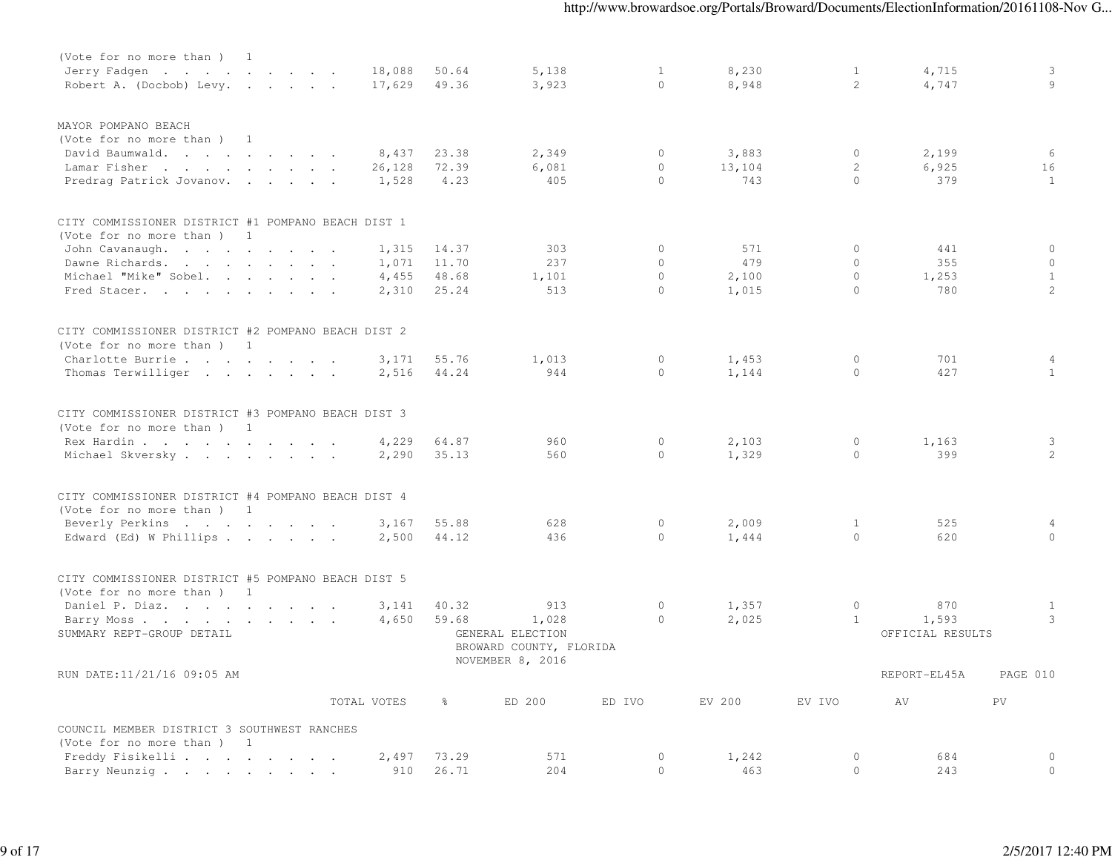| (Vote for no more than ) 1                         |             |               |                                             |              |        |                |                  |                |
|----------------------------------------------------|-------------|---------------|---------------------------------------------|--------------|--------|----------------|------------------|----------------|
| Jerry Fadgen.                                      | 18,088      | 50.64         | 5,138                                       | $\mathbf{1}$ | 8,230  | $\mathbf{1}$   | 4,715            | 3              |
| Robert A. (Docbob) Levy.                           | 17,629      | 49.36         | 3,923                                       | $\Omega$     | 8,948  | $\overline{2}$ | 4,747            | $\circ$        |
| MAYOR POMPANO BEACH                                |             |               |                                             |              |        |                |                  |                |
| (Vote for no more than) 1                          |             |               |                                             |              |        |                |                  |                |
| David Baumwald.                                    | 8,437       | 23.38         | 2,349                                       | $\Omega$     | 3,883  | $\circ$        | 2,199            | 6              |
| Lamar Fisher                                       | 26,128      | 72.39         | 6,081                                       | $\mathbf{0}$ | 13,104 | $\mathbf{2}$   | 6,925            | 16             |
| Predrag Patrick Jovanov.                           | 1,528       | 4.23          | 405                                         | $\cap$       | 743    | $\Omega$       | 379              | $\mathbf{1}$   |
| CITY COMMISSIONER DISTRICT #1 POMPANO BEACH DIST 1 |             |               |                                             |              |        |                |                  |                |
| (Vote for no more than) 1                          |             |               |                                             |              |        |                |                  |                |
| John Cavanaugh.                                    | 1,315       | 14.37         | 303                                         | $\Omega$     | 571    | 0              | 441              | $\circ$        |
| Dawne Richards.                                    | 1,071       | 11.70         | 237                                         | $\Omega$     | 479    | $\Omega$       | 355              | $\circ$        |
| Michael "Mike" Sobel.                              | 4,455       | 48.68         | 1,101                                       | $\Omega$     | 2,100  | $\Omega$       | 1,253            | $\mathbf{1}$   |
| Fred Stacer.                                       | 2,310       | 25.24         | 513                                         | $\circ$      | 1,015  | $\circ$        | 780              | 2              |
| CITY COMMISSIONER DISTRICT #2 POMPANO BEACH DIST 2 |             |               |                                             |              |        |                |                  |                |
| (Vote for no more than ) 1                         |             |               |                                             |              |        |                |                  |                |
| Charlotte Burrie                                   | 3,171       | 55.76         | 1,013                                       | $\Omega$     | 1,453  | $\circ$        | 701              | 4              |
| Thomas Terwilliger                                 | 2,516       | 44.24         | 944                                         | $\Omega$     | 1,144  | $\Omega$       | 427              | $\mathbf{1}$   |
| CITY COMMISSIONER DISTRICT #3 POMPANO BEACH DIST 3 |             |               |                                             |              |        |                |                  |                |
| (Vote for no more than) 1                          |             |               |                                             |              |        |                |                  |                |
| Rex Hardin                                         | 4,229       | 64.87         | 960                                         | $\mathbf{0}$ | 2,103  | $\circ$        | 1,163            | 3              |
| Michael Skversky                                   | 2,290       | 35.13         | 560                                         | $\Omega$     | 1,329  | $\circ$        | 399              | 2              |
| CITY COMMISSIONER DISTRICT #4 POMPANO BEACH DIST 4 |             |               |                                             |              |        |                |                  |                |
| (Vote for no more than) 1                          |             |               |                                             |              |        |                |                  |                |
| Beverly Perkins                                    | 3,167       | 55.88         | 628                                         | $\mathbf{0}$ | 2,009  | $\mathbf{1}$   | 525              | $\overline{4}$ |
| Edward (Ed) W Phillips                             | 2,500       | 44.12         | 436                                         | $\cap$       | 1,444  | $\circ$        | 620              | $\Omega$       |
| CITY COMMISSIONER DISTRICT #5 POMPANO BEACH DIST 5 |             |               |                                             |              |        |                |                  |                |
| (Vote for no more than) 1                          |             |               |                                             |              |        |                |                  |                |
| Daniel P. Diaz.                                    | 3,141       | 40.32         | 913                                         | $\mathbf{0}$ | 1,357  | $\circ$        | 870              | 1              |
| Barry Moss                                         | 4,650       | 59.68         | 1,028                                       | $\Omega$     | 2,025  | $\mathbf{1}$   | 1,593            | 3              |
| SUMMARY REPT-GROUP DETAIL                          |             |               | GENERAL ELECTION<br>BROWARD COUNTY, FLORIDA |              |        |                | OFFICIAL RESULTS |                |
| RUN DATE:11/21/16 09:05 AM                         |             |               | NOVEMBER 8, 2016                            |              |        |                | REPORT-EL45A     | PAGE 010       |
|                                                    | TOTAL VOTES | $\frac{6}{6}$ | ED 200                                      | ED IVO       | EV 200 | EV IVO         | AV               | PV             |
| COUNCIL MEMBER DISTRICT 3 SOUTHWEST RANCHES        |             |               |                                             |              |        |                |                  |                |
| (Vote for no more than) 1                          |             |               |                                             |              |        |                |                  |                |
| Freddy Fisikelli                                   | 2,497       | 73.29         | 571                                         | $\circ$      | 1,242  | $\circ$        | 684              | $\circ$        |
| Barry Neunzig                                      | 910         | 26.71         | 204                                         | $\Omega$     | 463    | $\Omega$       | 243              | $\circ$        |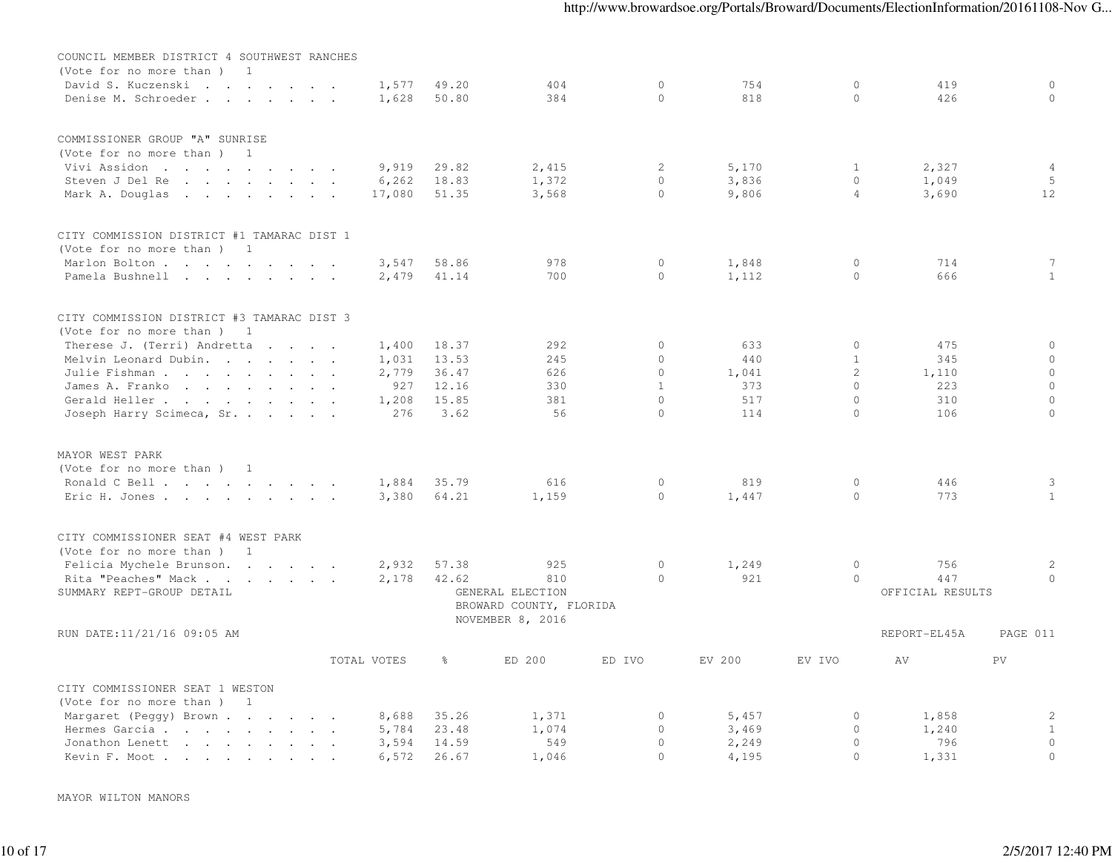| COUNCIL MEMBER DISTRICT 4 SOUTHWEST RANCHES                                                                                        |                                   |       |                                             |              |        |                |                  |                 |
|------------------------------------------------------------------------------------------------------------------------------------|-----------------------------------|-------|---------------------------------------------|--------------|--------|----------------|------------------|-----------------|
| (Vote for no more than )<br>1                                                                                                      |                                   |       |                                             |              |        |                |                  |                 |
| David S. Kuczenski                                                                                                                 | 1,577                             | 49.20 | 404                                         | $\mathbf{0}$ | 754    | $\circ$        | 419              | $\circ$         |
| Denise M. Schroeder                                                                                                                | 1,628                             | 50.80 | 384                                         | $\Omega$     | 818    | $\circ$        | 426              | $\Omega$        |
| COMMISSIONER GROUP "A" SUNRISE                                                                                                     |                                   |       |                                             |              |        |                |                  |                 |
| (Vote for no more than )<br>1                                                                                                      |                                   |       |                                             |              |        |                |                  |                 |
| Vivi Assidon                                                                                                                       | 9,919                             | 29.82 | 2,415                                       | 2            | 5,170  | 1              | 2,327            | 4               |
| Steven J Del Re<br>the contract of the contract of the contract of the contract of the contract of the contract of the contract of | 6, 262                            | 18.83 | 1,372                                       | $\circ$      | 3,836  | $\circ$        | 1,049            | 5               |
| Mark A. Douglas                                                                                                                    | 17,080                            | 51.35 | 3,568                                       | $\circ$      | 9,806  | $\overline{4}$ | 3,690            | 12              |
| CITY COMMISSION DISTRICT #1 TAMARAC DIST 1                                                                                         |                                   |       |                                             |              |        |                |                  |                 |
| (Vote for no more than)<br>-1                                                                                                      |                                   |       |                                             |              |        |                |                  |                 |
| Marlon Bolton                                                                                                                      | 3,547<br>$\overline{\phantom{a}}$ | 58.86 | 978                                         | $\mathbf{0}$ | 1,848  | $\circ$        | 714              | $7\phantom{.0}$ |
| Pamela Bushnell                                                                                                                    | 2,479                             | 41.14 | 700                                         | $\Omega$     | 1,112  | $\circ$        | 666              | $\mathbf{1}$    |
| CITY COMMISSION DISTRICT #3 TAMARAC DIST 3                                                                                         |                                   |       |                                             |              |        |                |                  |                 |
| (Vote for no more than)<br>$\overline{\phantom{1}}$                                                                                |                                   |       |                                             |              |        |                |                  |                 |
| Therese J. (Terri) Andretta<br>$\sim$ $\sim$                                                                                       | 1,400                             | 18.37 | 292                                         | $\circ$      | 633    | $\circ$        | 475              | $\circ$         |
| Melvin Leonard Dubin.                                                                                                              | 1,031                             | 13.53 | 245                                         | $\mathbf{0}$ | 440    | $\mathbf{1}$   | 345              | $\circ$         |
| Julie Fishman                                                                                                                      | 2,779                             | 36.47 | 626                                         | $\mathbf{0}$ | 1,041  | 2              | 1,110            | $\circ$         |
| James A. Franko.                                                                                                                   | 927                               | 12.16 | 330                                         | $\mathbf{1}$ | 373    | $\circ$        | 223              | $\circ$         |
| Gerald Heller                                                                                                                      | 1,208                             | 15.85 | 381                                         | $\Omega$     | 517    | $\circ$        | 310              | $\circ$         |
| Joseph Harry Scimeca, Sr.                                                                                                          | 276                               | 3.62  | 56                                          | $\Omega$     | 114    | $\Omega$       | 106              | $\Omega$        |
| MAYOR WEST PARK                                                                                                                    |                                   |       |                                             |              |        |                |                  |                 |
| (Vote for no more than) 1                                                                                                          |                                   |       |                                             |              |        |                |                  |                 |
| Ronald C Bell                                                                                                                      | 1,884                             | 35.79 | 616                                         | $\circ$      | 819    | $\circ$        | 446              | 3               |
| Eric H. Jones.                                                                                                                     | 3,380                             | 64.21 | 1,159                                       | $\mathbf{0}$ | 1,447  | $\circ$        | 773              | 1               |
| CITY COMMISSIONER SEAT #4 WEST PARK                                                                                                |                                   |       |                                             |              |        |                |                  |                 |
| (Vote for no more than)<br>1                                                                                                       |                                   |       |                                             |              |        |                |                  |                 |
| Felicia Mychele Brunson.                                                                                                           | 2,932                             | 57.38 | 925                                         | $\circ$      | 1,249  | $\circ$        | 756              | 2               |
| Rita "Peaches" Mack                                                                                                                | 2,178                             | 42.62 | 810                                         | $\Omega$     | 921    | $\Omega$       | 447              | $\Omega$        |
| SUMMARY REPT-GROUP DETAIL                                                                                                          |                                   |       | GENERAL ELECTION                            |              |        |                | OFFICIAL RESULTS |                 |
|                                                                                                                                    |                                   |       | BROWARD COUNTY, FLORIDA<br>NOVEMBER 8, 2016 |              |        |                |                  |                 |
| RUN DATE:11/21/16 09:05 AM                                                                                                         |                                   |       |                                             |              |        |                | REPORT-EL45A     | PAGE 011        |
|                                                                                                                                    | TOTAL VOTES                       | ိင    | ED 200                                      | ED IVO       | EV 200 | EV IVO         | AV               | PV              |
| CITY COMMISSIONER SEAT 1 WESTON                                                                                                    |                                   |       |                                             |              |        |                |                  |                 |
| (Vote for no more than )<br>1                                                                                                      |                                   |       |                                             |              |        |                |                  |                 |
| Margaret (Peggy) Brown                                                                                                             | 8,688                             | 35.26 | 1,371                                       | 0            | 5,457  | 0              | 1,858            | 2               |
| Hermes Garcia.<br>the contract of the contract of the contract of                                                                  | 5,784                             | 23.48 | 1,074                                       | $\circ$      | 3,469  | $\circ$        | 1,240            | $\mathbf{1}$    |
| Jonathon Lenett<br>the contract of the contract of the                                                                             | 3,594                             | 14.59 | 549                                         | $\Omega$     | 2,249  | $\circ$        | 796              | $\circ$         |
| Kevin F. Moot                                                                                                                      | 6,572                             | 26.67 | 1,046                                       | $\circ$      | 4,195  | $\circ$        | 1,331            | $\circ$         |

MAYOR WILTON MANORS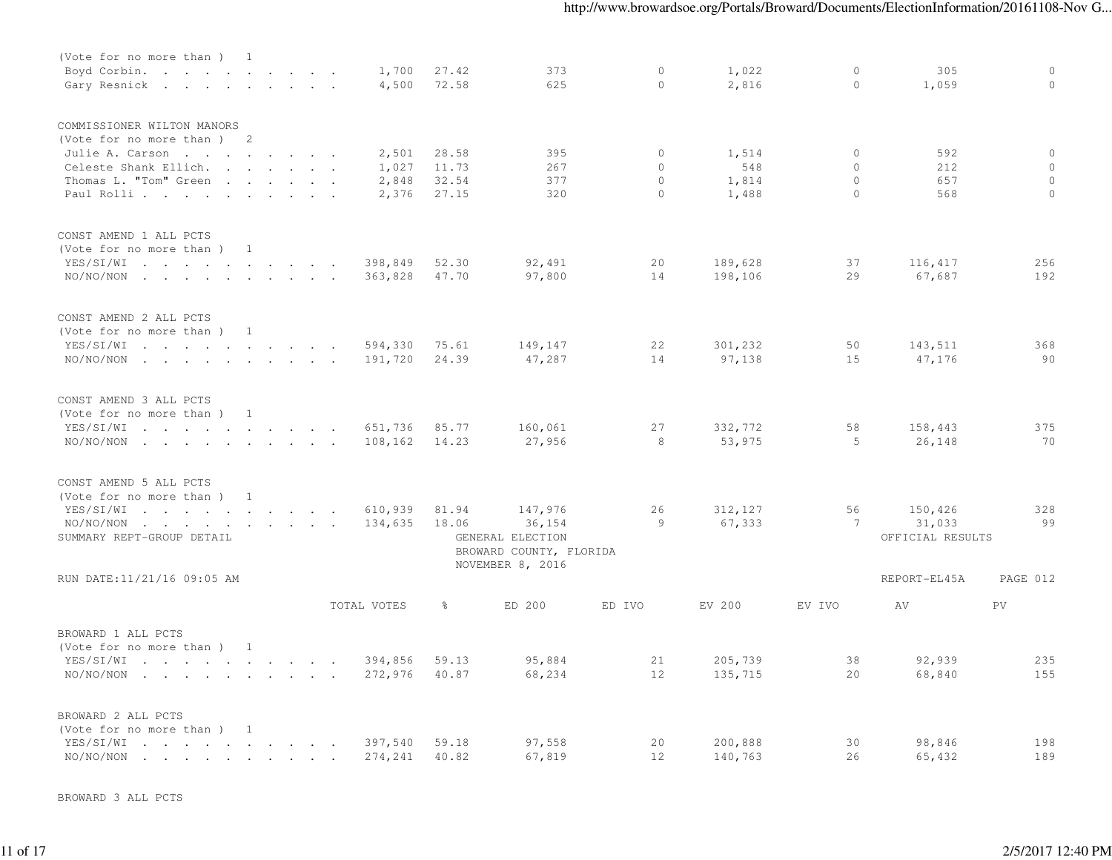| (Vote for no more than ) 1                                                                                                                                                                                                                      |                |  |  |             |               |                                                                 |          |          |         |                  |          |
|-------------------------------------------------------------------------------------------------------------------------------------------------------------------------------------------------------------------------------------------------|----------------|--|--|-------------|---------------|-----------------------------------------------------------------|----------|----------|---------|------------------|----------|
| Boyd Corbin.                                                                                                                                                                                                                                    |                |  |  | 1,700       | 27.42         | 373                                                             | $\circ$  | 1,022    | $\circ$ | 305              | $\circ$  |
| Gary Resnick                                                                                                                                                                                                                                    |                |  |  | 4,500       | 72.58         | 625                                                             | $\circ$  | 2,816    | $\circ$ | 1,059            | $\Omega$ |
| COMMISSIONER WILTON MANORS                                                                                                                                                                                                                      |                |  |  |             |               |                                                                 |          |          |         |                  |          |
| (Vote for no more than) 2                                                                                                                                                                                                                       |                |  |  |             |               |                                                                 |          |          |         |                  |          |
| Julie A. Carson                                                                                                                                                                                                                                 |                |  |  | 2,501       | 28.58         | 395                                                             | $\circ$  | 1,514    | $\circ$ | 592              | $\circ$  |
| Celeste Shank Ellich.                                                                                                                                                                                                                           |                |  |  | 1,027       | 11.73         | 267                                                             | $\circ$  | 548      | $\circ$ | 212              | $\circ$  |
| Thomas L. "Tom" Green                                                                                                                                                                                                                           |                |  |  | 2,848       | 32.54         | 377                                                             | $\circ$  | 1,814    | $\circ$ | 657              | $\circ$  |
| Paul Rolli                                                                                                                                                                                                                                      |                |  |  | 2,376       | 27.15         | 320                                                             | $\Omega$ | 1,488    | $\circ$ | 568              | $\Omega$ |
| CONST AMEND 1 ALL PCTS                                                                                                                                                                                                                          |                |  |  |             |               |                                                                 |          |          |         |                  |          |
| (Vote for no more than)                                                                                                                                                                                                                         | $\overline{1}$ |  |  |             |               |                                                                 |          |          |         |                  |          |
| YES/SI/WI                                                                                                                                                                                                                                       |                |  |  | 398,849     | 52.30         | 92,491                                                          | 20       | 189,628  | 37      | 116,417          | 256      |
| $NO/NO/NON$                                                                                                                                                                                                                                     |                |  |  | 363,828     | 47.70         | 97,800                                                          | 14       | 198,106  | 29      | 67,687           | 192      |
| CONST AMEND 2 ALL PCTS                                                                                                                                                                                                                          |                |  |  |             |               |                                                                 |          |          |         |                  |          |
| (Vote for no more than) 1                                                                                                                                                                                                                       |                |  |  |             |               |                                                                 |          |          |         |                  |          |
| YES/SI/WI                                                                                                                                                                                                                                       |                |  |  | 594,330     | 75.61         | 149,147                                                         | 22       | 301,232  | 50      | 143,511          | 368      |
| $NO/NO/NON$                                                                                                                                                                                                                                     |                |  |  | 191,720     | 24.39         | 47,287                                                          | 14       | 97,138   | 15      | 47,176           | 90       |
|                                                                                                                                                                                                                                                 |                |  |  |             |               |                                                                 |          |          |         |                  |          |
| CONST AMEND 3 ALL PCTS                                                                                                                                                                                                                          |                |  |  |             |               |                                                                 |          |          |         |                  |          |
| (Vote for no more than) 1                                                                                                                                                                                                                       |                |  |  |             |               |                                                                 |          |          |         |                  |          |
| YES/SI/WI<br>the contract of the contract of the contract of the contract of the contract of the contract of the contract of                                                                                                                    |                |  |  | 651,736     | 85.77         | 160,061                                                         | 27       | 332,772  | 58      | 158,443          | 375      |
| $NO/NO/NON$                                                                                                                                                                                                                                     |                |  |  | 108,162     | 14.23         | 27,956                                                          | 8        | 53,975   | 5       | 26,148           | 70       |
| CONST AMEND 5 ALL PCTS                                                                                                                                                                                                                          |                |  |  |             |               |                                                                 |          |          |         |                  |          |
| (Vote for no more than )                                                                                                                                                                                                                        | 1              |  |  |             |               |                                                                 |          |          |         |                  |          |
| YES/SI/WI<br>$\mathcal{L}$ . The contract of the contract of the contract of the contract of the contract of the contract of the contract of the contract of the contract of the contract of the contract of the contract of the contract of th |                |  |  | 610,939     | 81.94         | 147,976                                                         | 26       | 312, 127 | 56      | 150,426          | 328      |
| NO/NO/NON<br>the contract of the contract of the contract of                                                                                                                                                                                    |                |  |  | 134,635     | 18.06         | 36, 154                                                         | 9        | 67,333   | 7       | 31,033           | 99       |
| SUMMARY REPT-GROUP DETAIL                                                                                                                                                                                                                       |                |  |  |             |               | GENERAL ELECTION<br>BROWARD COUNTY, FLORIDA<br>NOVEMBER 8, 2016 |          |          |         | OFFICIAL RESULTS |          |
| RUN DATE:11/21/16 09:05 AM                                                                                                                                                                                                                      |                |  |  |             |               |                                                                 |          |          |         | REPORT-EL45A     | PAGE 012 |
|                                                                                                                                                                                                                                                 |                |  |  | TOTAL VOTES | $\frac{6}{6}$ | ED 200                                                          | ED IVO   | EV 200   | EV IVO  | AV               | PV       |
| BROWARD 1 ALL PCTS                                                                                                                                                                                                                              |                |  |  |             |               |                                                                 |          |          |         |                  |          |
| (Vote for no more than ) 1                                                                                                                                                                                                                      |                |  |  |             |               |                                                                 |          |          |         |                  |          |
| YES/SI/WI                                                                                                                                                                                                                                       |                |  |  | 394,856     | 59.13         | 95,884                                                          | 21       | 205,739  | 38      | 92,939           | 235      |
| $NO/NO/NON$                                                                                                                                                                                                                                     |                |  |  | 272,976     | 40.87         | 68,234                                                          | 12       | 135,715  | 20      | 68,840           | 155      |
|                                                                                                                                                                                                                                                 |                |  |  |             |               |                                                                 |          |          |         |                  |          |
| BROWARD 2 ALL PCTS                                                                                                                                                                                                                              |                |  |  |             |               |                                                                 |          |          |         |                  |          |
| (Vote for no more than) 1                                                                                                                                                                                                                       |                |  |  |             |               |                                                                 |          |          |         |                  |          |
| YES/SI/WI<br>the contract of the contract of the contract of the contract of the contract of the contract of the contract of                                                                                                                    |                |  |  | 397,540     | 59.18         | 97,558                                                          | 20       | 200,888  | 30      | 98,846           | 198      |
| NO/NO/NON<br>the contract of the contract of the contract of the contract of the contract of the contract of the contract of                                                                                                                    |                |  |  | 274,241     | 40.82         | 67,819                                                          | 12       | 140,763  | 26      | 65,432           | 189      |

BROWARD 3 ALL PCTS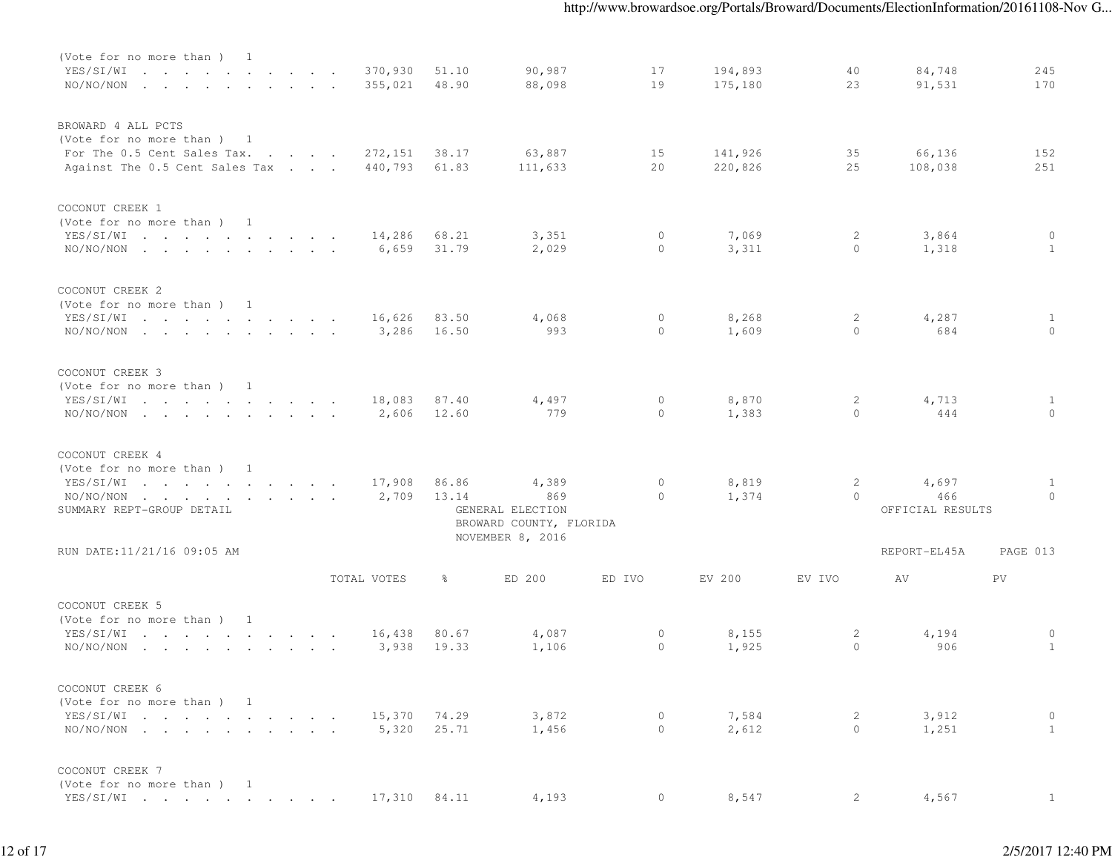| (Vote for no more than) 1<br>YES/SI/WI<br>$NO/NO/NON$                                                            |  |  | 370,930<br>355,021 | 51.10<br>48.90 | 90,987<br>88,098                            | 17<br>19            | 194,893<br>175,180 | 40<br>23                   | 84,748<br>91,531                 | 245<br>170               |
|------------------------------------------------------------------------------------------------------------------|--|--|--------------------|----------------|---------------------------------------------|---------------------|--------------------|----------------------------|----------------------------------|--------------------------|
| BROWARD 4 ALL PCTS<br>(Vote for no more than) 1<br>For The 0.5 Cent Sales Tax.<br>Against The 0.5 Cent Sales Tax |  |  | 272,151<br>440,793 | 38.17<br>61.83 | 63,887<br>111,633                           | 15<br>20            | 141,926<br>220,826 | 35<br>25                   | 66,136<br>108,038                | 152<br>251               |
| COCONUT CREEK 1<br>(Vote for no more than) 1<br>YES/SI/WI<br>$NO/NO/NON$                                         |  |  | 14,286<br>6,659    | 68.21<br>31.79 | 3,351<br>2,029                              | $\circ$<br>$\Omega$ | 7,069<br>3,311     | 2<br>$\Omega$              | 3,864<br>1,318                   | $\circ$<br>$\mathbf{1}$  |
| COCONUT CREEK 2<br>(Vote for no more than) 1<br>YES/SI/WI<br>$NO/NO/NON$                                         |  |  | 16,626<br>3,286    | 83.50<br>16.50 | 4,068<br>993                                | $\circ$<br>$\Omega$ | 8,268<br>1,609     | $\overline{2}$<br>$\Omega$ | 4,287<br>684                     | $\mathbf{1}$<br>$\Omega$ |
| COCONUT CREEK 3<br>(Vote for no more than) 1<br>YES/SI/WI<br>$NO/NO/NON$                                         |  |  | 18,083<br>2,606    | 87.40<br>12.60 | 4,497<br>779                                | $\circ$<br>$\Omega$ | 8,870<br>1,383     | 2<br>$\Omega$              | 4,713<br>444                     | 1<br>$\Omega$            |
| COCONUT CREEK 4<br>(Vote for no more than) 1<br>YES/SI/WI<br>$NO/NO/NON$<br>SUMMARY REPT-GROUP DETAIL            |  |  | 17,908<br>2,709    | 86.86<br>13.14 | 4,389<br>869<br>GENERAL ELECTION            | $\circ$<br>$\Omega$ | 8,819<br>1,374     | 2<br>$\Omega$              | 4,697<br>466<br>OFFICIAL RESULTS | $\mathbf{1}$<br>$\Omega$ |
| RUN DATE:11/21/16 09:05 AM                                                                                       |  |  |                    |                | BROWARD COUNTY, FLORIDA<br>NOVEMBER 8, 2016 |                     |                    |                            | REPORT-EL45A                     | PAGE 013                 |
|                                                                                                                  |  |  | TOTAL VOTES        | 응 $^{\circ}$   | ED 200                                      | ED IVO              | EV 200             | EV IVO                     | AV                               | PV.                      |
| COCONUT CREEK 5<br>(Vote for no more than) 1<br>YES/SI/WI<br>$NO/NO/NON$                                         |  |  | 16,438<br>3,938    | 80.67<br>19.33 | 4,087<br>1,106                              | $\circ$<br>$\circ$  | 8,155<br>1,925     | 2<br>$\circ$               | 4,194<br>906                     | 0<br>$\mathbf{1}$        |
| COCONUT CREEK 6<br>(Vote for no more than) 1<br>YES/SI/WI<br>$NO/NO/NON$                                         |  |  | 15,370<br>5,320    | 74.29<br>25.71 | 3,872<br>1,456                              | $\circ$<br>$\circ$  | 7,584<br>2,612     | 2<br>$\circ$               | 3,912<br>1,251                   | 0<br>$\mathbf{1}$        |
| COCONUT CREEK 7<br>(Vote for no more than) 1<br>YES/SI/WI                                                        |  |  |                    |                | 17,310 84.11 4,193                          | $\overline{0}$      | 8,547              | 2                          | 4,567                            |                          |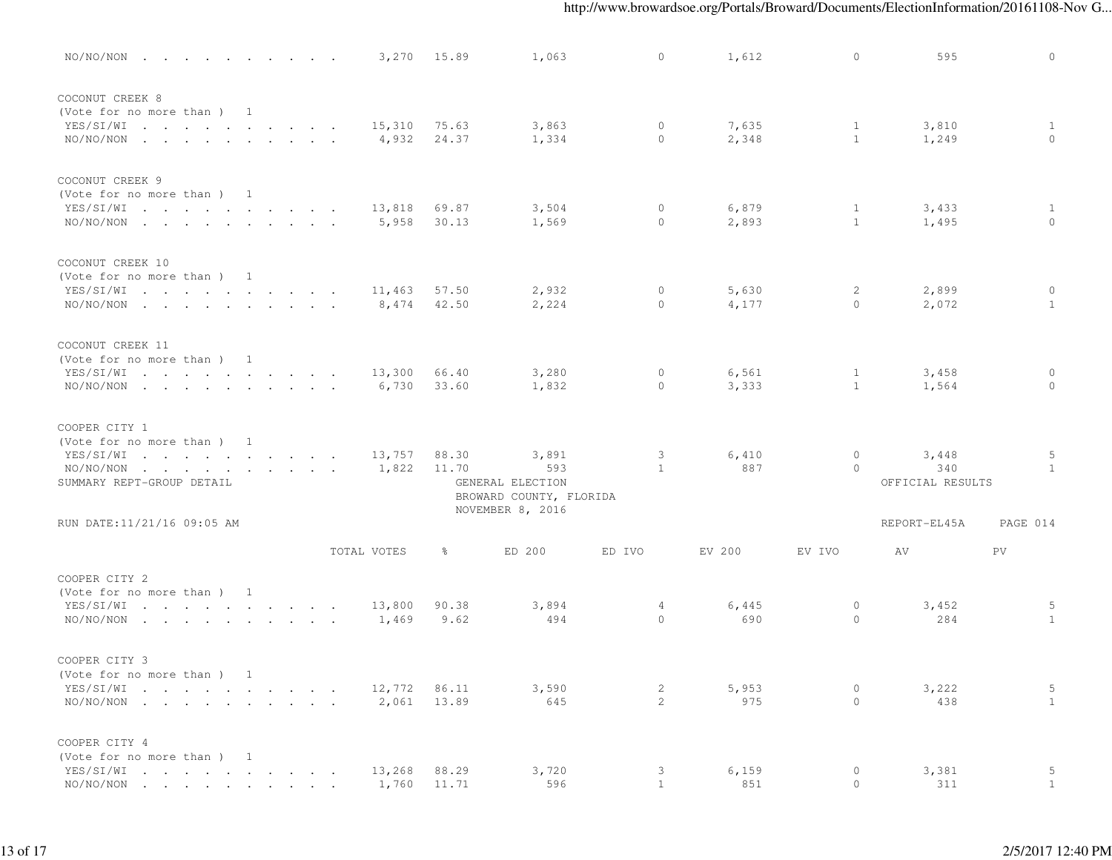| $NO/NO/NON$                                                                                         |  |  |  |                 | 3,270 15.89    | 1,063                                       | $\Omega$            | 1,612          | $\circ$                      | 595                              | $\Omega$                 |
|-----------------------------------------------------------------------------------------------------|--|--|--|-----------------|----------------|---------------------------------------------|---------------------|----------------|------------------------------|----------------------------------|--------------------------|
| COCONUT CREEK 8<br>(Vote for no more than) 1<br>YES/SI/WI<br>$NO/NO/NON$                            |  |  |  | 15,310<br>4,932 | 75.63<br>24.37 | 3,863<br>1,334                              | $\circ$<br>$\Omega$ | 7,635<br>2,348 | $\mathbf{1}$<br>1            | 3,810<br>1,249                   | $\mathbf{1}$<br>$\Omega$ |
| COCONUT CREEK 9<br>(Vote for no more than) 1<br>YES/SI/WI<br>$NO/NO/NON$                            |  |  |  | 13,818<br>5,958 | 69.87<br>30.13 | 3,504<br>1,569                              | $\circ$<br>$\circ$  | 6,879<br>2,893 | 1<br>1                       | 3,433<br>1,495                   | $\mathbf{1}$<br>$\Omega$ |
| COCONUT CREEK 10<br>(Vote for no more than) 1<br>YES/SI/WI<br>$NO/NO/NON$                           |  |  |  | 11,463<br>8,474 | 57.50<br>42.50 | 2,932<br>2,224                              | $\circ$<br>$\circ$  | 5,630<br>4,177 | $\overline{2}$<br>$\circ$    | 2,899<br>2,072                   | $\circ$<br>$\mathbf{1}$  |
| COCONUT CREEK 11<br>(Vote for no more than) 1<br>YES/SI/WI<br>$NO/NO/NON$                           |  |  |  | 13,300<br>6,730 | 66.40<br>33.60 | 3,280<br>1,832                              | $\circ$<br>$\Omega$ | 6,561<br>3,333 | $\mathbf{1}$<br>$\mathbf{1}$ | 3,458<br>1,564                   | $\circ$<br>$\Omega$      |
| COOPER CITY 1<br>(Vote for no more than) 1<br>YES/SI/WI<br>$NO/NO/NON$<br>SUMMARY REPT-GROUP DETAIL |  |  |  | 13,757<br>1,822 | 88.30<br>11.70 | 3,891<br>593<br>GENERAL ELECTION            | 3<br>$\overline{1}$ | 6,410<br>887   | $\circ$<br>$\circ$           | 3,448<br>340<br>OFFICIAL RESULTS | 5<br>$\mathbf{1}$        |
| RUN DATE:11/21/16 09:05 AM                                                                          |  |  |  |                 |                | BROWARD COUNTY, FLORIDA<br>NOVEMBER 8, 2016 |                     |                |                              | REPORT-EL45A                     | PAGE 014                 |
|                                                                                                     |  |  |  | TOTAL VOTES     | ိ              | ED 200                                      | ED IVO              | EV 200         | EV IVO                       | AV                               | PV.                      |
| COOPER CITY 2<br>(Vote for no more than) 1<br>YES/SI/WI<br>$NO/NO/NON$                              |  |  |  | 13,800<br>1,469 | 90.38<br>9.62  | 3,894<br>494                                | 4<br>$\Omega$       | 6,445<br>690   | $\circ$<br>$\circ$           | 3,452<br>284                     | 5<br>$\overline{1}$      |
| COOPER CITY 3<br>(Vote for no more than ) 1<br>YES/SI/WI<br>$NO/NO/NON$                             |  |  |  | 12,772<br>2,061 | 86.11<br>13.89 | 3,590<br>645                                | 2<br>$\overline{2}$ | 5,953<br>975   | 0<br>$\circ$                 | 3,222<br>438                     | 5<br>1                   |
| COOPER CITY 4<br>(Vote for no more than) 1<br>YES/SI/WI<br>NO/NO/NON                                |  |  |  | 13,268<br>1,760 | 88.29<br>11.71 | 3,720<br>596                                | 3<br>$\overline{1}$ | 6,159<br>851   | $\circ$<br>$\circ$           | 3,381<br>311                     | 5<br>1                   |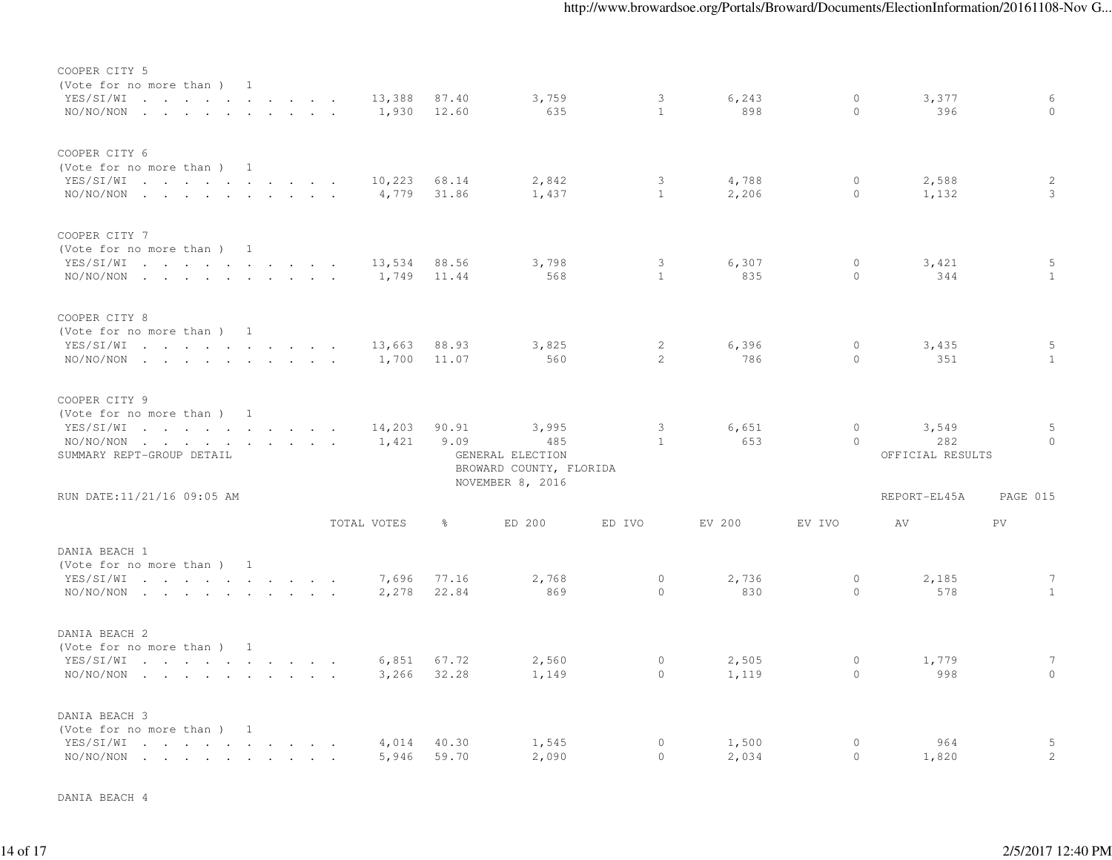| COOPER CITY 5<br>(Vote for no more than ) 1<br>YES/SI/WI                                                                               |               |               |                 | 87.40 | 3,759                                              | 3              |              | $\circ$  | 3,377                   | 6               |
|----------------------------------------------------------------------------------------------------------------------------------------|---------------|---------------|-----------------|-------|----------------------------------------------------|----------------|--------------|----------|-------------------------|-----------------|
| $NO/NO/NON$                                                                                                                            |               |               | 13,388<br>1,930 | 12.60 | 635                                                | $\mathbf{1}$   | 6,243<br>898 | $\Omega$ | 396                     | $\Omega$        |
| COOPER CITY 6<br>(Vote for no more than ) 1                                                                                            |               |               |                 |       |                                                    |                |              |          |                         |                 |
| YES/SI/WI                                                                                                                              |               |               | 10,223          | 68.14 | 2,842                                              | 3              | 4,788        | $\circ$  | 2,588                   | 2               |
| $NO/NO/NON$                                                                                                                            | $\sim$ $\sim$ | $\sim$ $\sim$ | 4,779           | 31.86 | 1,437                                              | $\mathbf{1}$   | 2,206        | $\circ$  | 1,132                   | 3               |
| COOPER CITY 7                                                                                                                          |               |               |                 |       |                                                    |                |              |          |                         |                 |
| (Vote for no more than) 1                                                                                                              |               |               |                 |       |                                                    |                |              |          |                         |                 |
| YES/SI/WI                                                                                                                              |               |               | 13,534          | 88.56 | 3,798                                              | 3              | 6,307        | $\circ$  | 3,421                   | 5               |
| $NO/NO/NON$                                                                                                                            |               |               | 1,749           | 11.44 | 568                                                | $\mathbf{1}$   | 835          | $\circ$  | 344                     | 1               |
| COOPER CITY 8                                                                                                                          |               |               |                 |       |                                                    |                |              |          |                         |                 |
| (Vote for no more than) 1                                                                                                              |               |               |                 |       |                                                    |                |              |          |                         |                 |
| YES/SI/WI                                                                                                                              |               |               | 13,663          | 88.93 | 3,825                                              | 2              | 6,396        | $\circ$  | 3,435                   | 5               |
| $NO/NO/NON$                                                                                                                            |               |               | 1,700           | 11.07 | 560                                                | $\overline{2}$ | 786          | $\Omega$ | 351                     | $\mathbf{1}$    |
| COOPER CITY 9                                                                                                                          |               |               |                 |       |                                                    |                |              |          |                         |                 |
| (Vote for no more than) 1                                                                                                              |               |               |                 |       |                                                    |                |              |          |                         |                 |
| YES/SI/WI                                                                                                                              |               |               | 14,203          | 90.91 | 3,995                                              | 3              | 6,651        | $\circ$  | 3,549                   | 5               |
| NO/NO/NON<br>. The contract of the contract of the contract of the contract of $\mathcal{A}$<br>SUMMARY REPT-GROUP DETAIL              |               |               | 1,421           | 9.09  | 485<br>GENERAL ELECTION<br>BROWARD COUNTY, FLORIDA | $\mathbf{1}$   | 653          | $\circ$  | 282<br>OFFICIAL RESULTS | $\Omega$        |
|                                                                                                                                        |               |               |                 |       | NOVEMBER 8, 2016                                   |                |              |          |                         |                 |
| RUN DATE:11/21/16 09:05 AM                                                                                                             |               |               |                 |       |                                                    |                |              |          | REPORT-EL45A            | PAGE 015        |
|                                                                                                                                        |               |               | TOTAL VOTES     | ႜ     | ED 200                                             | ED IVO         | EV 200       | EV IVO   | AV                      | <b>PV</b>       |
| DANIA BEACH 1<br>(Vote for no more than) 1                                                                                             |               |               |                 |       |                                                    |                |              |          |                         |                 |
| YES/SI/WI                                                                                                                              |               |               | 7,696           | 77.16 | 2,768                                              | $\circ$        | 2,736        | $\circ$  | 2,185                   | $7\phantom{.0}$ |
| $NO/NO/NON$                                                                                                                            |               |               | 2,278           | 22.84 | 869                                                | $\circ$        | 830          | $\circ$  | 578                     | $\mathbf{1}$    |
| DANIA BEACH 2                                                                                                                          |               |               |                 |       |                                                    |                |              |          |                         |                 |
| (Vote for no more than) 1                                                                                                              |               |               |                 |       |                                                    |                |              |          |                         |                 |
| YES/SI/WI                                                                                                                              |               |               | 6,851           | 67.72 | 2,560                                              | $\circ$        | 2,505        | $\circ$  | 1,779                   | $7\phantom{.0}$ |
| $NO/NO/NON$                                                                                                                            |               |               | 3,266           | 32.28 | 1,149                                              | $\circ$        | 1,119        | $\circ$  | 998                     | $\Omega$        |
| DANIA BEACH 3                                                                                                                          |               |               |                 |       |                                                    |                |              |          |                         |                 |
| (Vote for no more than ) 1                                                                                                             |               |               |                 |       |                                                    |                |              |          |                         |                 |
| YES/SI/WI<br>the contract of the contract of the contract of the contract of the contract of the contract of the contract of<br>$\sim$ |               |               | 4,014           | 40.30 | 1,545                                              | $\circ$        | 1,500        | $\circ$  | 964                     | 5               |
| NO/NO/NON<br>the contract of the contract of the contract of the contract of the contract of                                           |               |               | 5,946           | 59.70 | 2,090                                              | $\circ$        | 2,034        | $\circ$  | 1,820                   | 2               |

DANIA BEACH 4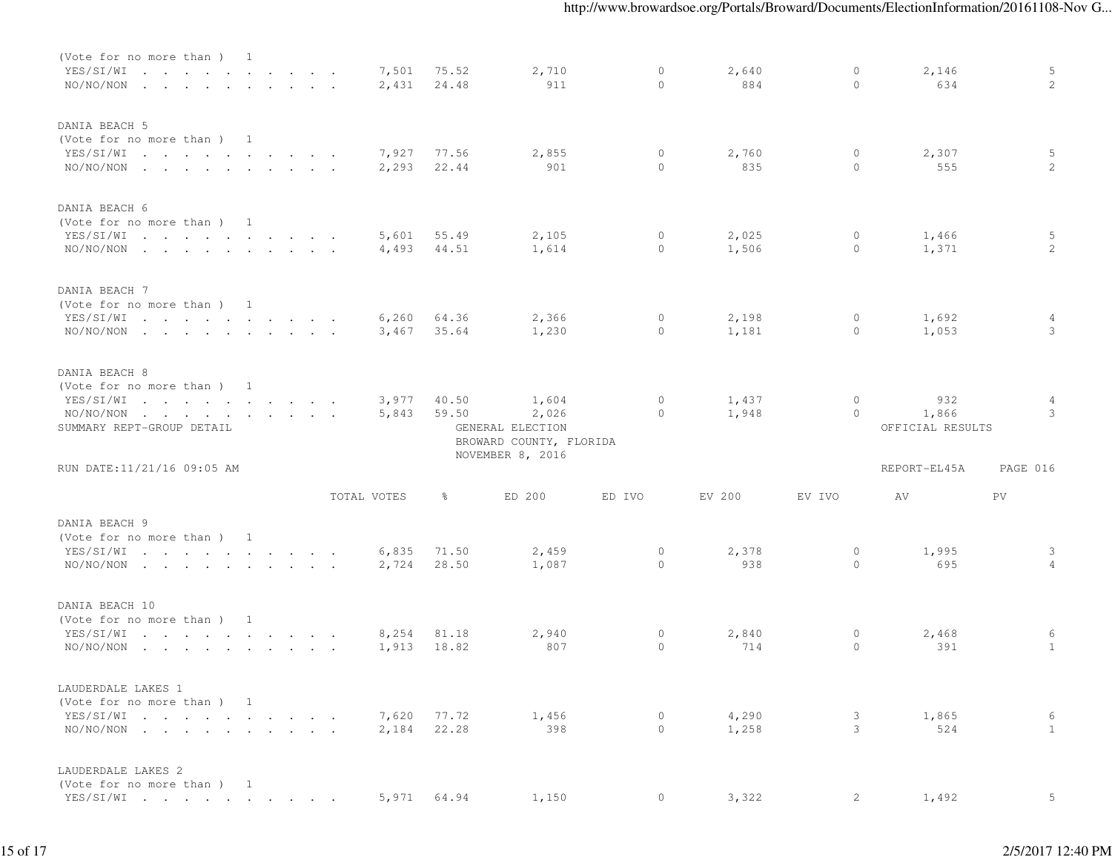| (Vote for no more than) 1<br>YES/SI/WI<br>NO/NO/NON                                                  | the contract of the contract of the contract of the contract of the contract of the contract of the contract of<br>the contract of the contract of the contract of the contract of the contract of the contract of the contract of |  |  |             | 7,501<br>2,431 | 75.52<br>24.48 | 2,710<br>911                                                  | $\mathbf{0}$<br>$\mathbf{0}$ | 2,640<br>884   | $\circ$<br>$\circ$ | 2,146<br>634                     | 5<br>2             |
|------------------------------------------------------------------------------------------------------|------------------------------------------------------------------------------------------------------------------------------------------------------------------------------------------------------------------------------------|--|--|-------------|----------------|----------------|---------------------------------------------------------------|------------------------------|----------------|--------------------|----------------------------------|--------------------|
| DANIA BEACH 5<br>(Vote for no more than) 1<br>YES/SI/WI<br>$NO/NO/NON$                               |                                                                                                                                                                                                                                    |  |  |             | 7,927<br>2,293 | 77.56<br>22.44 | 2,855<br>901                                                  | $\circ$<br>$\circ$           | 2,760<br>835   | $\circ$<br>$\circ$ | 2,307<br>555                     | 5<br>2             |
| DANIA BEACH 6<br>(Vote for no more than) 1<br>YES/SI/WI<br>$NO/NO/NON$                               |                                                                                                                                                                                                                                    |  |  |             | 5,601<br>4,493 | 55.49<br>44.51 | 2,105<br>1,614                                                | $\circ$<br>$\circ$           | 2,025<br>1,506 | 0<br>$\circ$       | 1,466<br>1,371                   | -5<br>2            |
| DANIA BEACH 7<br>(Vote for no more than) 1<br>YES/SI/WI<br>$NO/NO/NON$                               |                                                                                                                                                                                                                                    |  |  |             | 6,260<br>3,467 | 64.36<br>35.64 | 2,366<br>1,230                                                | $\circ$<br>$\circ$           | 2,198<br>1,181 | $\circ$<br>$\circ$ | 1,692<br>1,053                   | 4<br>3             |
| DANIA BEACH 8<br>(Vote for no more than ) 1<br>YES/SI/WI<br>$NO/NO/NON$<br>SUMMARY REPT-GROUP DETAIL | the contract of the contract of the contract of the contract of the contract of the contract of the contract of                                                                                                                    |  |  |             | 3,977<br>5,843 | 40.50<br>59.50 | 1,604<br>2,026<br>GENERAL ELECTION<br>BROWARD COUNTY, FLORIDA | $\circ$<br>$\mathbf{0}$      | 1,437<br>1,948 | $\circ$<br>$\circ$ | 932<br>1,866<br>OFFICIAL RESULTS | 4<br>3             |
| RUN DATE:11/21/16 09:05 AM                                                                           |                                                                                                                                                                                                                                    |  |  |             |                |                | NOVEMBER 8, 2016                                              |                              |                |                    | REPORT-EL45A                     | PAGE 016           |
|                                                                                                      |                                                                                                                                                                                                                                    |  |  | TOTAL VOTES |                | ွေ             | ED 200                                                        | ED IVO                       | EV 200         | EV IVO             | AV                               | PV                 |
| DANIA BEACH 9<br>(Vote for no more than) 1<br>YES/SI/WI<br>$NO/NO/NON$                               | the contract of the contract of the contract of the contract of the contract of the contract of the contract of                                                                                                                    |  |  |             | 6,835<br>2,724 | 71.50<br>28.50 | 2,459<br>1,087                                                | $\circ$<br>$\mathbf{0}$      | 2,378<br>938   | $\circ$<br>$\circ$ | 1,995<br>695                     | $\mathcal{E}$<br>4 |
| DANIA BEACH 10<br>(Vote for no more than) 1<br>YES/SI/WI<br>$NO/NO/NON$                              | the contract of the contract of the contract of the contract of the contract of the contract of the contract of                                                                                                                    |  |  |             | 8,254<br>1,913 | 81.18<br>18.82 | 2,940<br>807                                                  | $\circ$<br>$\circ$           | 2,840<br>714   | $\circ$<br>$\circ$ | 2,468<br>391                     | 6<br>$\mathbf{1}$  |
| LAUDERDALE LAKES 1<br>(Vote for no more than ) 1<br>YES/SI/WI<br>$NO/NO/NON$                         |                                                                                                                                                                                                                                    |  |  |             | 7,620<br>2,184 | 77.72<br>22.28 | 1,456<br>398                                                  | $\circ$<br>$\circ$           | 4,290<br>1,258 | 3<br>3             | 1,865<br>524                     | 6<br>1             |
| LAUDERDALE LAKES 2<br>(Vote for no more than ) 1<br>YES/SI/WI                                        |                                                                                                                                                                                                                                    |  |  |             | 5,971 64.94    |                | 1,150                                                         | $\overline{0}$               | 3,322          | 2                  | 1,492                            | 5                  |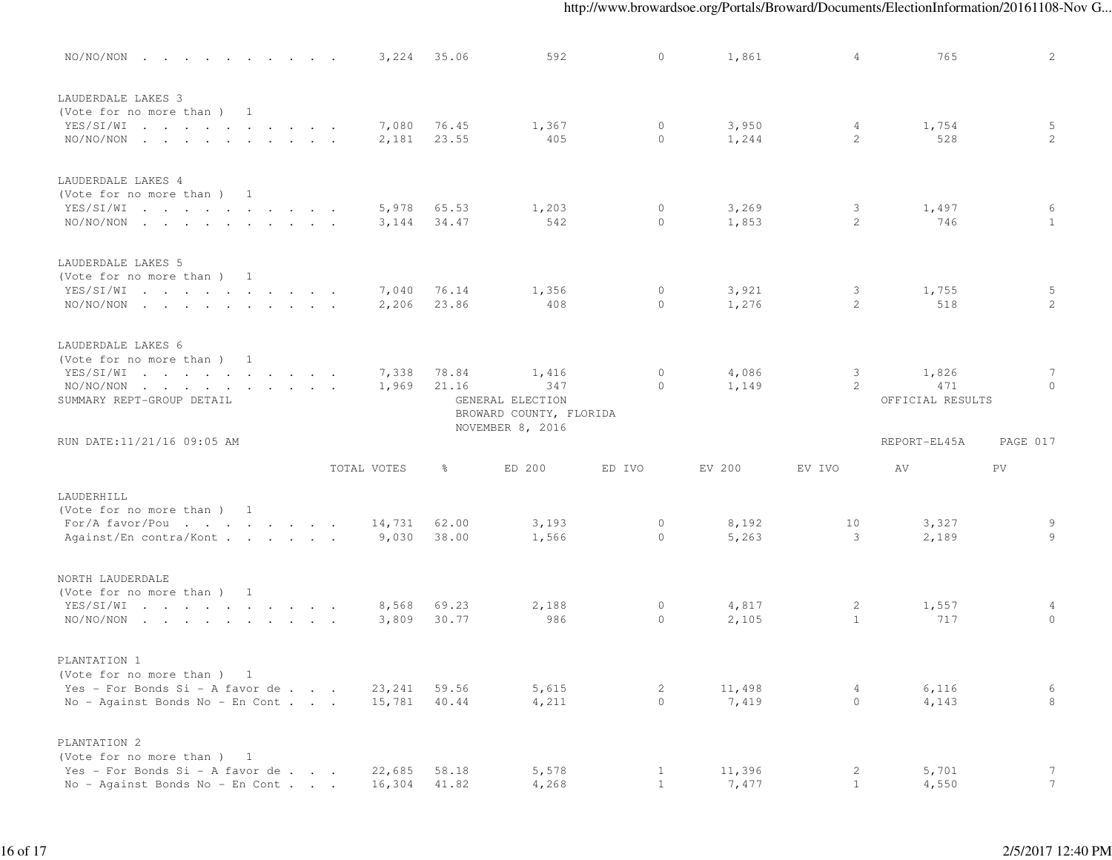| $NO/NO/NON$                                                                  |             | 3,224           | 35.06          | 592                                         | $\circ$             | 1,861          | 4              | 765              | $\mathbf{2}^{\prime}$ |
|------------------------------------------------------------------------------|-------------|-----------------|----------------|---------------------------------------------|---------------------|----------------|----------------|------------------|-----------------------|
| LAUDERDALE LAKES 3<br>(Vote for no more than ) 1<br>YES/SI/WI<br>$NO/NO/NON$ |             | 7,080<br>2,181  | 76.45<br>23.55 | 1,367<br>405                                | $\circ$<br>$\circ$  | 3,950<br>1,244 | 4<br>2         | 1,754<br>528     | 5<br>$\overline{2}$   |
| LAUDERDALE LAKES 4<br>(Vote for no more than) 1<br>YES/SI/WI                 |             | 5,978           | 65.53          | 1,203                                       | $\circ$             | 3,269          | 3              | 1,497            | 6                     |
| $NO/NO/NON$                                                                  |             | 3,144           | 34.47          | 542                                         | $\circ$             | 1,853          | 2              | 746              | 1                     |
| LAUDERDALE LAKES 5<br>(Vote for no more than) 1<br>YES/SI/WI                 |             | 7,040           | 76.14          | 1,356                                       | $\circ$             | 3,921          | 3              | 1,755            | 5                     |
| $NO/NO/NON$                                                                  |             | 2,206           | 23.86          | 408                                         | $\circ$             | 1,276          | 2              | 518              | $\overline{2}$        |
| LAUDERDALE LAKES 6<br>(Vote for no more than) 1                              |             |                 |                |                                             |                     |                |                |                  |                       |
| YES/SI/WI<br>$NO/NO/NON$                                                     |             | 7,338<br>1,969  | 78.84<br>21.16 | 1,416<br>347                                | $\circ$<br>$\Omega$ | 4,086<br>1,149 | 3<br>2         | 1,826<br>471     | 7<br>$\Omega$         |
| SUMMARY REPT-GROUP DETAIL                                                    |             |                 |                | GENERAL ELECTION<br>BROWARD COUNTY, FLORIDA |                     |                |                | OFFICIAL RESULTS |                       |
| RUN DATE:11/21/16 09:05 AM                                                   |             |                 |                | NOVEMBER 8, 2016                            |                     |                |                | REPORT-EL45A     | PAGE 017              |
|                                                                              | TOTAL VOTES |                 | ွေ             | ED 200                                      | ED IVO              | EV 200         | EV IVO         | AV               | PV                    |
| LAUDERHILL<br>(Vote for no more than ) 1                                     |             |                 |                |                                             |                     |                |                |                  |                       |
| For/A favor/Pou<br>Against/En contra/Kont                                    |             | 14,731<br>9,030 | 62.00<br>38.00 | 3,193<br>1,566                              | $\circ$<br>$\circ$  | 8,192<br>5,263 | 10<br>3        | 3,327<br>2,189   | 9<br>9                |
| NORTH LAUDERDALE<br>(Vote for no more than ) 1                               |             |                 |                |                                             |                     |                |                |                  |                       |
| YES/SI/WI<br>$NO/NO/NON$                                                     |             | 8,568           | 69.23          | 2,188                                       | $\mathbf{0}$        | 4,817          | 2              | 1,557            | 4                     |
|                                                                              |             | 3,809           | 30.77          | 986                                         | $\circ$             | 2,105          | $\mathbf{1}$   | 717              | $\circ$               |
| PLANTATION 1                                                                 |             |                 |                |                                             |                     |                |                |                  |                       |
| (Vote for no more than) 1                                                    |             |                 |                |                                             |                     |                |                |                  |                       |
| Yes - For Bonds Si - A favor de                                              |             | 23,241          | 59.56          | 5,615                                       | 2                   | 11,498         | 4              | 6,116            | 6                     |
| No - Against Bonds No - En Cont                                              |             | 15,781          | 40.44          | 4,211                                       | $\circ$             | 7,419          | $\circ$        | 4,143            | 8                     |
| PLANTATION 2                                                                 |             |                 |                |                                             |                     |                |                |                  |                       |
| (Vote for no more than ) 1<br>Yes - For Bonds Si - A favor de                |             | 22,685          | 58.18          | 5,578                                       | $\mathbf{1}$        | 11,396         | $\overline{c}$ | 5,701            | $7\phantom{.0}$       |